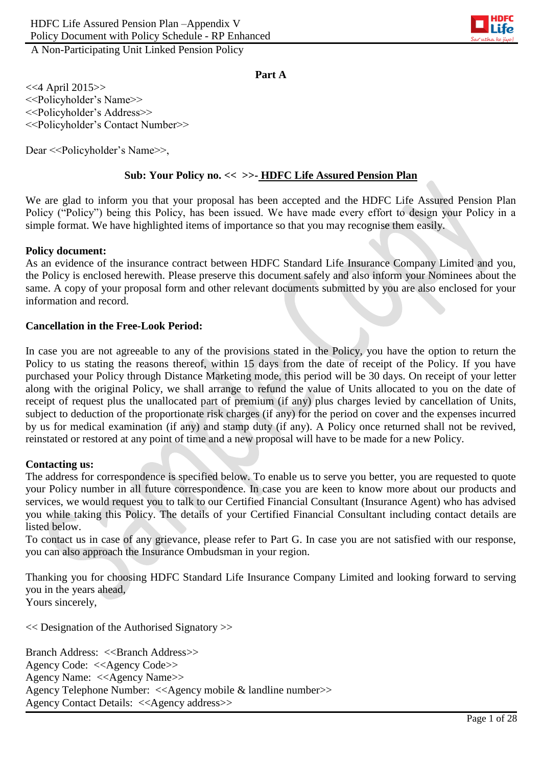

## **Part A**

<<4 April 2015>> <<Policyholder's Name>> <<Policyholder's Address>> <<Policyholder's Contact Number>>

Dear << Policyholder's Name>>,

## **Sub: Your Policy no. << >>- HDFC Life Assured Pension Plan**

We are glad to inform you that your proposal has been accepted and the HDFC Life Assured Pension Plan Policy ("Policy") being this Policy, has been issued. We have made every effort to design your Policy in a simple format. We have highlighted items of importance so that you may recognise them easily.

#### **Policy document:**

As an evidence of the insurance contract between HDFC Standard Life Insurance Company Limited and you, the Policy is enclosed herewith. Please preserve this document safely and also inform your Nominees about the same. A copy of your proposal form and other relevant documents submitted by you are also enclosed for your information and record.

#### **Cancellation in the Free-Look Period:**

In case you are not agreeable to any of the provisions stated in the Policy, you have the option to return the Policy to us stating the reasons thereof, within 15 days from the date of receipt of the Policy. If you have purchased your Policy through Distance Marketing mode, this period will be 30 days. On receipt of your letter along with the original Policy, we shall arrange to refund the value of Units allocated to you on the date of receipt of request plus the unallocated part of premium (if any) plus charges levied by cancellation of Units, subject to deduction of the proportionate risk charges (if any) for the period on cover and the expenses incurred by us for medical examination (if any) and stamp duty (if any). A Policy once returned shall not be revived, reinstated or restored at any point of time and a new proposal will have to be made for a new Policy.

#### **Contacting us:**

The address for correspondence is specified below. To enable us to serve you better, you are requested to quote your Policy number in all future correspondence. In case you are keen to know more about our products and services, we would request you to talk to our Certified Financial Consultant (Insurance Agent) who has advised you while taking this Policy. The details of your Certified Financial Consultant including contact details are listed below.

To contact us in case of any grievance, please refer to Part G. In case you are not satisfied with our response, you can also approach the Insurance Ombudsman in your region.

Thanking you for choosing HDFC Standard Life Insurance Company Limited and looking forward to serving you in the years ahead, Yours sincerely,

<< Designation of the Authorised Signatory >>

Branch Address: <<Branch Address>> Agency Code: <<Agency Code>> Agency Name: <<Agency Name>> Agency Telephone Number: <<Agency mobile & landline number>> Agency Contact Details: <<Agency address>>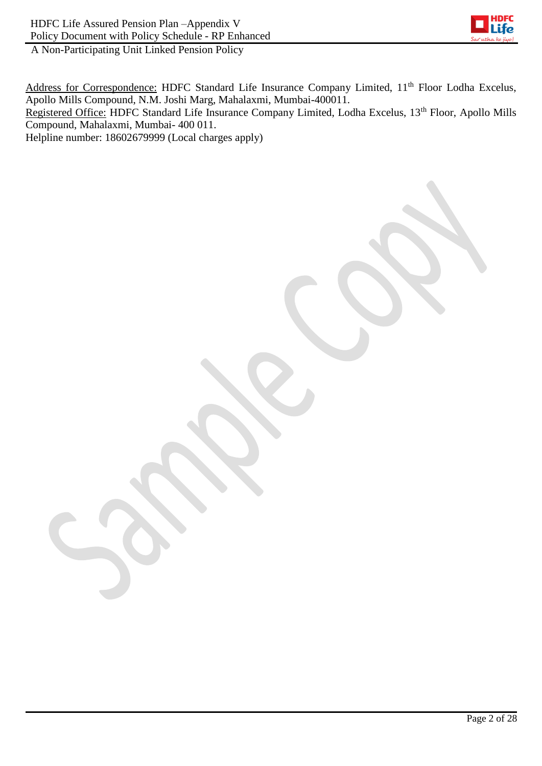

Address for Correspondence: HDFC Standard Life Insurance Company Limited, 11<sup>th</sup> Floor Lodha Excelus, Apollo Mills Compound, N.M. Joshi Marg, Mahalaxmi, Mumbai-400011.

Registered Office: HDFC Standard Life Insurance Company Limited, Lodha Excelus, 13<sup>th</sup> Floor, Apollo Mills Compound, Mahalaxmi, Mumbai- 400 011.

Helpline number: 18602679999 (Local charges apply)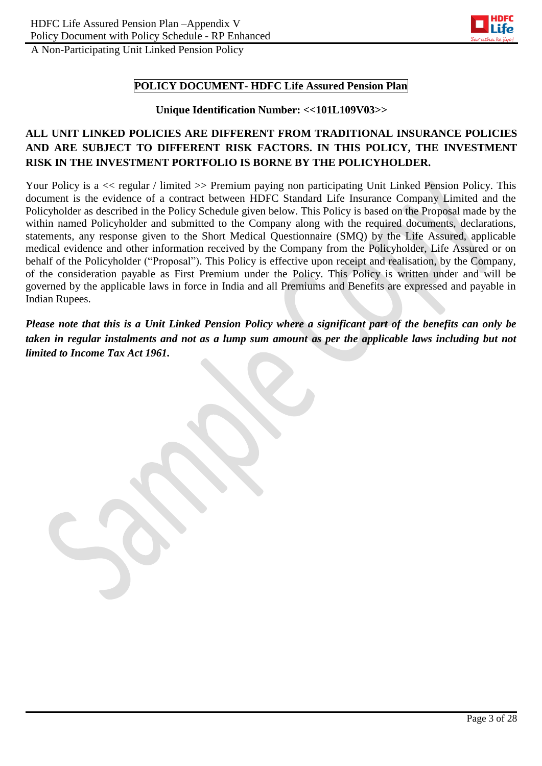

# **POLICY DOCUMENT- HDFC Life Assured Pension Plan**

#### **Unique Identification Number: <<101L109V03>>**

# **ALL UNIT LINKED POLICIES ARE DIFFERENT FROM TRADITIONAL INSURANCE POLICIES AND ARE SUBJECT TO DIFFERENT RISK FACTORS. IN THIS POLICY, THE INVESTMENT RISK IN THE INVESTMENT PORTFOLIO IS BORNE BY THE POLICYHOLDER.**

Your Policy is a << regular / limited >> Premium paying non participating Unit Linked Pension Policy. This document is the evidence of a contract between HDFC Standard Life Insurance Company Limited and the Policyholder as described in the Policy Schedule given below. This Policy is based on the Proposal made by the within named Policyholder and submitted to the Company along with the required documents, declarations, statements, any response given to the Short Medical Questionnaire (SMQ) by the Life Assured, applicable medical evidence and other information received by the Company from the Policyholder, Life Assured or on behalf of the Policyholder ("Proposal"). This Policy is effective upon receipt and realisation, by the Company, of the consideration payable as First Premium under the Policy. This Policy is written under and will be governed by the applicable laws in force in India and all Premiums and Benefits are expressed and payable in Indian Rupees.

*Please note that this is a Unit Linked Pension Policy where a significant part of the benefits can only be taken in regular instalments and not as a lump sum amount as per the applicable laws including but not limited to Income Tax Act 1961.*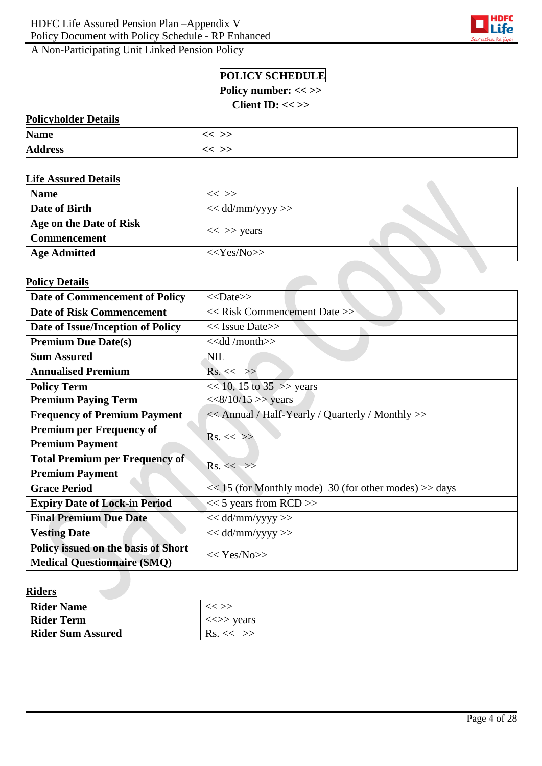

# **POLICY SCHEDULE**

Policy number: << >>

**Client ID: << >>**

#### **Policyholder Details**

| <b>Name</b>    |    |
|----------------|----|
| <b>Address</b> | >> |

## **Life Assured Details**

| <b>Name</b>             | $<<$ >>            |  |
|-------------------------|--------------------|--|
| Date of Birth           | $<<$ dd/mm/yyyy >> |  |
| Age on the Date of Risk |                    |  |
| <b>Commencement</b>     | $<<$ >> years      |  |
| <b>Age Admitted</b>     | $<<$ Yes/No>>      |  |
| <b>Policy Details</b>   |                    |  |

# **Policy Details**

| <b>Date of Commencement of Policy</b> | $<<$ Date>>                                               |  |
|---------------------------------------|-----------------------------------------------------------|--|
| <b>Date of Risk Commencement</b>      | $<<$ Risk Commencement Date $>>$                          |  |
| Date of Issue/Inception of Policy     | $<<$ Issue Date>>                                         |  |
| <b>Premium Due Date(s)</b>            | $<<$ dd /month $>>$                                       |  |
| <b>Sum Assured</b>                    | <b>NIL</b>                                                |  |
| <b>Annualised Premium</b>             | $Rs. \ll \gg$                                             |  |
| <b>Policy Term</b>                    | $<< 10$ , 15 to 35 $>>$ years                             |  |
| <b>Premium Paying Term</b>            | $<<8/10/15$ >> years                                      |  |
| <b>Frequency of Premium Payment</b>   | << Annual / Half-Yearly / Quarterly / Monthly >>          |  |
| <b>Premium per Frequency of</b>       | $Rs. \ll \gg$                                             |  |
| <b>Premium Payment</b>                |                                                           |  |
| <b>Total Premium per Frequency of</b> | $Rs. \ll \gg$                                             |  |
| <b>Premium Payment</b>                |                                                           |  |
| <b>Grace Period</b>                   | $<< 15$ (for Monthly mode) 30 (for other modes) $>>$ days |  |
| <b>Expiry Date of Lock-in Period</b>  | $<< 5$ years from RCD $>>$                                |  |
| <b>Final Premium Due Date</b>         | $<<$ dd/mm/yyyy >>                                        |  |
| <b>Vesting Date</b>                   | $<<$ dd/mm/yyyy >>                                        |  |
| Policy issued on the basis of Short   | $<< \text{Yes/N0}>>$                                      |  |
| <b>Medical Questionnaire (SMQ)</b>    |                                                           |  |

# **Riders**

| <b>Rider Name</b>        | << >>        |
|--------------------------|--------------|
| <b>Rider Term</b>        | $\iff$ vears |
| <b>Rider Sum Assured</b> | Rs. < <      |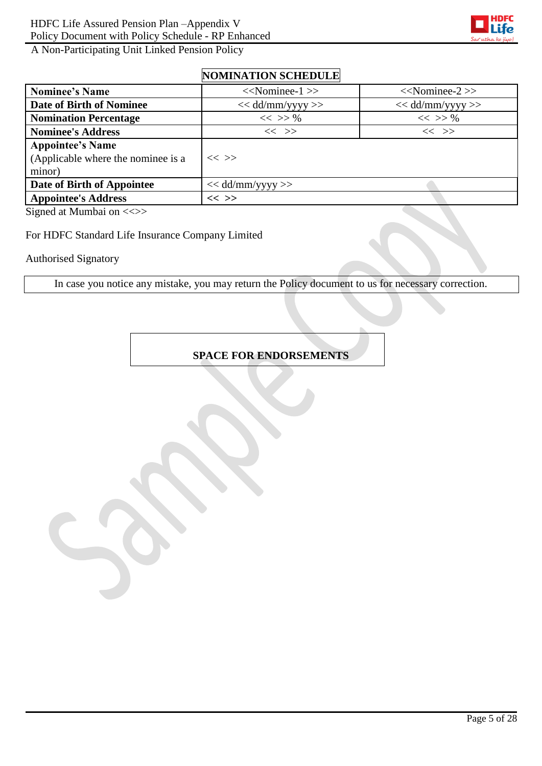

**NOMINATION SCHEDULE** 

| $<<$ Nominee-1 $>>$ | $<<$ Nominee-2 $>>$ |
|---------------------|---------------------|
| $<<$ dd/mm/yyyy >>  | $<<$ dd/mm/yyyy >>  |
| $<<$ >> %           | $<<$ >> %           |
| $<<$ >>             | $\ll$ $\gg$         |
| $<<$ >>             |                     |
| $<<$ dd/mm/yyyy >>  |                     |
| $<<$ >>             |                     |
|                     |                     |

Signed at Mumbai on <<>>

For HDFC Standard Life Insurance Company Limited

Authorised Signatory

In case you notice any mistake, you may return the Policy document to us for necessary correction.

## **SPACE FOR ENDORSEMENTS**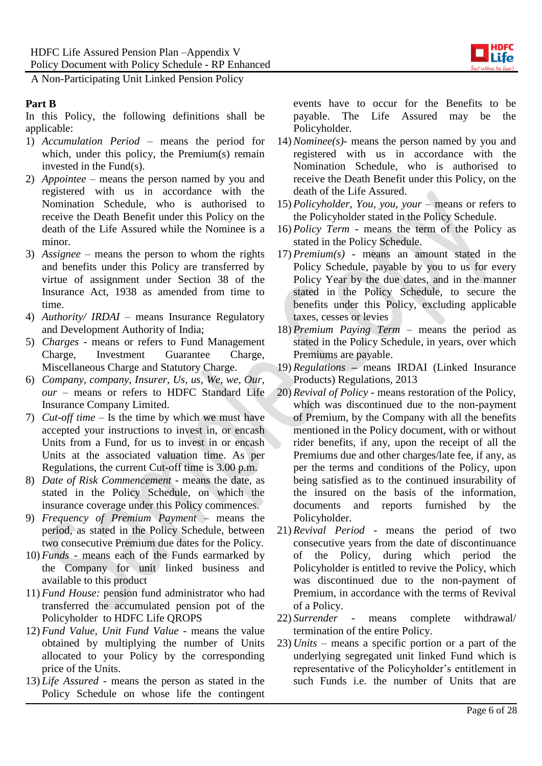

## **Part B**

In this Policy, the following definitions shall be applicable:

- 1) *Accumulation Period* means the period for which, under this policy, the Premium(s) remain invested in the Fund(s).
- 2) *Appointee –* means the person named by you and registered with us in accordance with the Nomination Schedule, who is authorised to receive the Death Benefit under this Policy on the death of the Life Assured while the Nominee is a minor.
- 3) *Assignee*  means the person to whom the rights and benefits under this Policy are transferred by virtue of assignment under Section 38 of the Insurance Act, 1938 as amended from time to time.
- 4) *Authority/ IRDAI* means Insurance Regulatory and Development Authority of India;
- 5) *Charges -* means or refers to Fund Management Charge, Investment Guarantee Charge, Miscellaneous Charge and Statutory Charge.
- 6) *Company, company, Insurer, Us, us, We, we, Our, our* – means or refers to HDFC Standard Life Insurance Company Limited.
- 7) *Cut-off time*  Is the time by which we must have accepted your instructions to invest in, or encash Units from a Fund, for us to invest in or encash Units at the associated valuation time. As per Regulations, the current Cut-off time is 3.00 p.m.
- 8) *Date of Risk Commencement -* means the date, as stated in the Policy Schedule, on which the insurance coverage under this Policy commences.
- 9) *Frequency of Premium Payment –* means the period, as stated in the Policy Schedule, between two consecutive Premium due dates for the Policy.
- 10) *Funds* means each of the Funds earmarked by the Company for unit linked business and available to this product
- 11) *Fund House:* pension fund administrator who had transferred the accumulated pension pot of the Policyholder to HDFC Life QROPS
- 12) *Fund Value, Unit Fund Value* means the value obtained by multiplying the number of Units allocated to your Policy by the corresponding price of the Units.
- 13) *Life Assured* means the person as stated in the Policy Schedule on whose life the contingent

events have to occur for the Benefits to be payable. The Life Assured may be the Policyholder.

- 14) *Nominee(s)-* means the person named by you and registered with us in accordance with the Nomination Schedule, who is authorised to receive the Death Benefit under this Policy, on the death of the Life Assured.
- 15) *Policyholder, You, you, your* means or refers to the Policyholder stated in the Policy Schedule.
- 16) *Policy Term*  means the term of the Policy as stated in the Policy Schedule.
- 17) *Premium(s)* means an amount stated in the Policy Schedule, payable by you to us for every Policy Year by the due dates, and in the manner stated in the Policy Schedule, to secure the benefits under this Policy, excluding applicable taxes, cesses or levies
- 18) *Premium Paying Term –* means the period as stated in the Policy Schedule, in years, over which Premiums are payable.
- 19) *Regulations* **–** means IRDAI (Linked Insurance Products) Regulations, 2013
- 20) *Revival of Policy* means restoration of the Policy, which was discontinued due to the non-payment of Premium, by the Company with all the benefits mentioned in the Policy document, with or without rider benefits, if any, upon the receipt of all the Premiums due and other charges/late fee, if any, as per the terms and conditions of the Policy, upon being satisfied as to the continued insurability of the insured on the basis of the information, documents and reports furnished by the Policyholder.
- 21) *Revival Period*  means the period of two consecutive years from the date of discontinuance of the Policy, during which period the Policyholder is entitled to revive the Policy, which was discontinued due to the non-payment of Premium, in accordance with the terms of Revival of a Policy.
- 22) *Surrender* means complete withdrawal/ termination of the entire Policy.
- 23) *Units* means a specific portion or a part of the underlying segregated unit linked Fund which is representative of the Policyholder's entitlement in such Funds i.e. the number of Units that are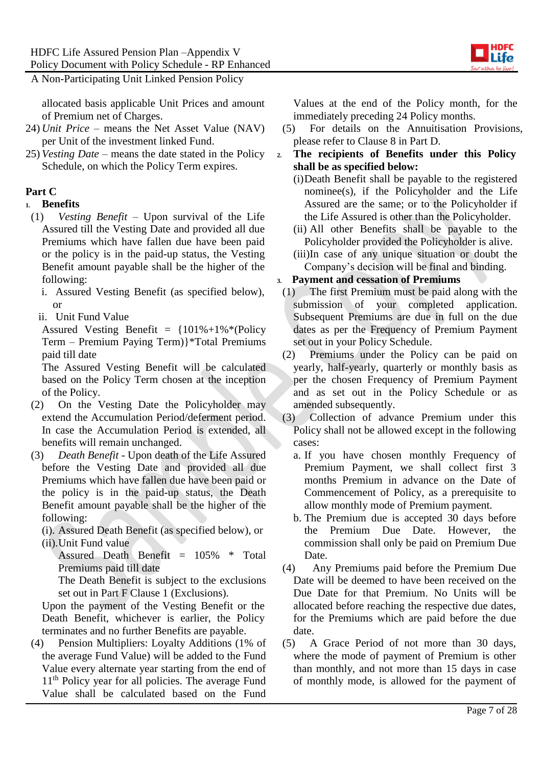

allocated basis applicable Unit Prices and amount of Premium net of Charges.

- 24) *Unit Price* means the Net Asset Value (NAV) per Unit of the investment linked Fund.
- 25) *Vesting Date –* means the date stated in the Policy Schedule, on which the Policy Term expires.

# **Part C**

## **1. Benefits**

- (1) *Vesting Benefit –* Upon survival of the Life Assured till the Vesting Date and provided all due Premiums which have fallen due have been paid or the policy is in the paid-up status, the Vesting Benefit amount payable shall be the higher of the following:
	- i. Assured Vesting Benefit (as specified below), or
	- ii. Unit Fund Value

Assured Vesting Benefit =  ${101\% + 1\%}{*}$  (Policy Term – Premium Paying Term)}\*Total Premiums paid till date

The Assured Vesting Benefit will be calculated based on the Policy Term chosen at the inception of the Policy.

- (2) On the Vesting Date the Policyholder may extend the Accumulation Period/deferment period. In case the Accumulation Period is extended, all benefits will remain unchanged.
- (3) *Death Benefit* Upon death of the Life Assured before the Vesting Date and provided all due Premiums which have fallen due have been paid or the policy is in the paid-up status, the Death Benefit amount payable shall be the higher of the following:
	- (i). Assured Death Benefit (as specified below), or (ii).Unit Fund value

Assured Death Benefit = 105% \* Total Premiums paid till date

The Death Benefit is subject to the exclusions set out in Part F Clause 1 (Exclusions).

Upon the payment of the Vesting Benefit or the Death Benefit, whichever is earlier, the Policy terminates and no further Benefits are payable.

(4) Pension Multipliers: Loyalty Additions (1% of the average Fund Value) will be added to the Fund Value every alternate year starting from the end of 11<sup>th</sup> Policy year for all policies. The average Fund Value shall be calculated based on the Fund Values at the end of the Policy month, for the immediately preceding 24 Policy months.

- (5) For details on the Annuitisation Provisions, please refer to Clause 8 in Part D.
- **2. The recipients of Benefits under this Policy shall be as specified below:**
	- (i)Death Benefit shall be payable to the registered nominee(s), if the Policyholder and the Life Assured are the same; or to the Policyholder if the Life Assured is other than the Policyholder.
	- (ii) All other Benefits shall be payable to the Policyholder provided the Policyholder is alive.
	- (iii)In case of any unique situation or doubt the Company's decision will be final and binding.

## **3. Payment and cessation of Premiums**

- (1) The first Premium must be paid along with the submission of your completed application. Subsequent Premiums are due in full on the due dates as per the Frequency of Premium Payment set out in your Policy Schedule.
- (2) Premiums under the Policy can be paid on yearly, half-yearly, quarterly or monthly basis as per the chosen Frequency of Premium Payment and as set out in the Policy Schedule or as amended subsequently.
- (3) Collection of advance Premium under this Policy shall not be allowed except in the following cases:
	- a. If you have chosen monthly Frequency of Premium Payment, we shall collect first 3 months Premium in advance on the Date of Commencement of Policy, as a prerequisite to allow monthly mode of Premium payment.
	- b. The Premium due is accepted 30 days before the Premium Due Date. However, the commission shall only be paid on Premium Due Date.
- (4) Any Premiums paid before the Premium Due Date will be deemed to have been received on the Due Date for that Premium. No Units will be allocated before reaching the respective due dates, for the Premiums which are paid before the due date.
- (5) A Grace Period of not more than 30 days, where the mode of payment of Premium is other than monthly, and not more than 15 days in case of monthly mode, is allowed for the payment of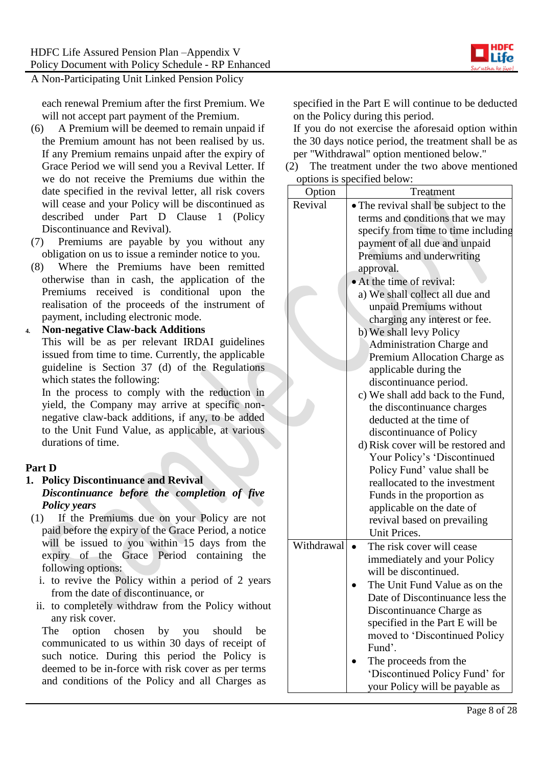

each renewal Premium after the first Premium. We will not accept part payment of the Premium.

- (6) A Premium will be deemed to remain unpaid if the Premium amount has not been realised by us. If any Premium remains unpaid after the expiry of Grace Period we will send you a Revival Letter. If we do not receive the Premiums due within the date specified in the revival letter, all risk covers will cease and your Policy will be discontinued as described under Part D Clause 1 (Policy Discontinuance and Revival).
- (7) Premiums are payable by you without any obligation on us to issue a reminder notice to you.
- (8) Where the Premiums have been remitted otherwise than in cash, the application of the Premiums received is conditional upon the realisation of the proceeds of the instrument of payment, including electronic mode.

**4. Non-negative Claw-back Additions** This will be as per relevant IRDAI guidelines issued from time to time. Currently, the applicable guideline is Section 37 (d) of the Regulations

which states the following: In the process to comply with the reduction in yield, the Company may arrive at specific nonnegative claw-back additions, if any, to be added to the Unit Fund Value, as applicable, at various

# **Part D**

durations of time.

## **1. Policy Discontinuance and Revival** *Discontinuance before the completion of five Policy years*

- (1) If the Premiums due on your Policy are not paid before the expiry of the Grace Period, a notice will be issued to you within 15 days from the expiry of the Grace Period containing the following options:
	- i. to revive the Policy within a period of 2 years from the date of discontinuance, or
- ii. to completely withdraw from the Policy without any risk cover.

The option chosen by you should be communicated to us within 30 days of receipt of such notice. During this period the Policy is deemed to be in-force with risk cover as per terms and conditions of the Policy and all Charges as specified in the Part E will continue to be deducted on the Policy during this period.

If you do not exercise the aforesaid option within the 30 days notice period, the treatment shall be as per "Withdrawal" option mentioned below."

(2) The treatment under the two above mentioned options is specified below:

| Option     | Treatment                             |
|------------|---------------------------------------|
| Revival    | • The revival shall be subject to the |
|            | terms and conditions that we may      |
|            | specify from time to time including   |
|            | payment of all due and unpaid         |
|            | Premiums and underwriting             |
|            | approval.                             |
|            | At the time of revival:               |
|            | a) We shall collect all due and       |
|            | unpaid Premiums without               |
|            | charging any interest or fee.         |
|            | b) We shall levy Policy               |
|            | Administration Charge and             |
|            | Premium Allocation Charge as          |
|            | applicable during the                 |
|            | discontinuance period.                |
|            | c) We shall add back to the Fund,     |
|            | the discontinuance charges            |
|            | deducted at the time of               |
|            | discontinuance of Policy              |
|            | d) Risk cover will be restored and    |
|            | Your Policy's 'Discontinued           |
|            | Policy Fund' value shall be           |
|            | reallocated to the investment         |
|            | Funds in the proportion as            |
|            | applicable on the date of             |
|            | revival based on prevailing           |
|            | Unit Prices.                          |
| Withdrawal | The risk cover will cease             |
|            | immediately and your Policy           |
|            | will be discontinued.                 |
|            | The Unit Fund Value as on the         |
|            | Date of Discontinuance less the       |
|            | Discontinuance Charge as              |
|            | specified in the Part E will be       |
|            | moved to 'Discontinued Policy         |
|            | Fund'.                                |
|            | The proceeds from the                 |
|            | 'Discontinued Policy Fund' for        |
|            | your Policy will be payable as        |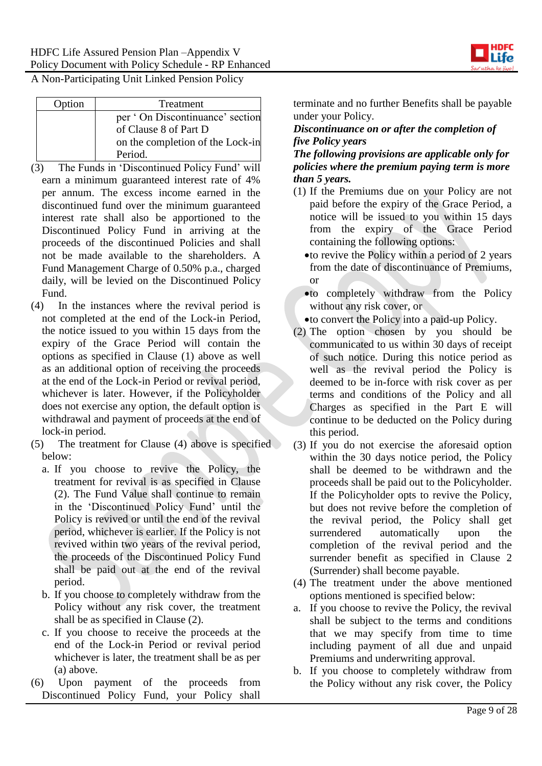

| Option | Treatment                        |
|--------|----------------------------------|
|        | per 'On Discontinuance' section  |
|        | of Clause 8 of Part D            |
|        | on the completion of the Lock-in |
|        | Period.                          |

- (3) The Funds in 'Discontinued Policy Fund' will earn a minimum guaranteed interest rate of 4% per annum. The excess income earned in the discontinued fund over the minimum guaranteed interest rate shall also be apportioned to the Discontinued Policy Fund in arriving at the proceeds of the discontinued Policies and shall not be made available to the shareholders. A Fund Management Charge of 0.50% p.a., charged daily, will be levied on the Discontinued Policy Fund.
- (4) In the instances where the revival period is not completed at the end of the Lock-in Period, the notice issued to you within 15 days from the expiry of the Grace Period will contain the options as specified in Clause (1) above as well as an additional option of receiving the proceeds at the end of the Lock-in Period or revival period, whichever is later. However, if the Policyholder does not exercise any option, the default option is withdrawal and payment of proceeds at the end of lock-in period.
- (5) The treatment for Clause (4) above is specified below:
	- a. If you choose to revive the Policy, the treatment for revival is as specified in Clause (2). The Fund Value shall continue to remain in the 'Discontinued Policy Fund' until the Policy is revived or until the end of the revival period, whichever is earlier. If the Policy is not revived within two years of the revival period, the proceeds of the Discontinued Policy Fund shall be paid out at the end of the revival period.
	- b. If you choose to completely withdraw from the Policy without any risk cover, the treatment shall be as specified in Clause (2).
	- c. If you choose to receive the proceeds at the end of the Lock-in Period or revival period whichever is later, the treatment shall be as per (a) above.
- (6) Upon payment of the proceeds from Discontinued Policy Fund, your Policy shall

terminate and no further Benefits shall be payable under your Policy.

## *Discontinuance on or after the completion of five Policy years*

*The following provisions are applicable only for policies where the premium paying term is more than 5 years.*

- (1) If the Premiums due on your Policy are not paid before the expiry of the Grace Period, a notice will be issued to you within 15 days from the expiry of the Grace Period containing the following options:
	- to revive the Policy within a period of 2 years from the date of discontinuance of Premiums, or
	- to completely withdraw from the Policy without any risk cover, or
	- to convert the Policy into a paid-up Policy.
- (2) The option chosen by you should be communicated to us within 30 days of receipt of such notice. During this notice period as well as the revival period the Policy is deemed to be in-force with risk cover as per terms and conditions of the Policy and all Charges as specified in the Part E will continue to be deducted on the Policy during this period.
- (3) If you do not exercise the aforesaid option within the 30 days notice period, the Policy shall be deemed to be withdrawn and the proceeds shall be paid out to the Policyholder. If the Policyholder opts to revive the Policy, but does not revive before the completion of the revival period, the Policy shall get surrendered automatically upon the completion of the revival period and the surrender benefit as specified in Clause 2 (Surrender) shall become payable.
- (4) The treatment under the above mentioned options mentioned is specified below:
- a. If you choose to revive the Policy, the revival shall be subject to the terms and conditions that we may specify from time to time including payment of all due and unpaid Premiums and underwriting approval.
- b. If you choose to completely withdraw from the Policy without any risk cover, the Policy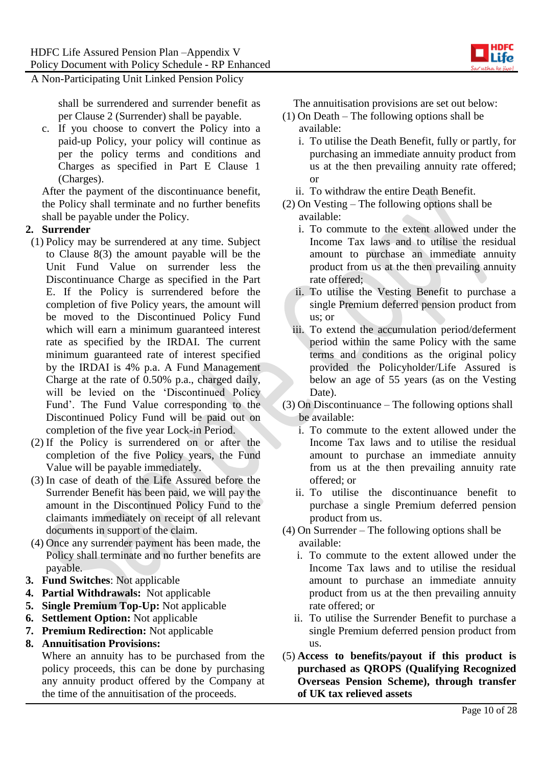

shall be surrendered and surrender benefit as per Clause 2 (Surrender) shall be payable.

c. If you choose to convert the Policy into a paid-up Policy, your policy will continue as per the policy terms and conditions and Charges as specified in Part E Clause 1 (Charges).

After the payment of the discontinuance benefit, the Policy shall terminate and no further benefits shall be payable under the Policy.

## **2. Surrender**

- (1) Policy may be surrendered at any time. Subject to Clause 8(3) the amount payable will be the Unit Fund Value on surrender less the Discontinuance Charge as specified in the Part E. If the Policy is surrendered before the completion of five Policy years, the amount will be moved to the Discontinued Policy Fund which will earn a minimum guaranteed interest rate as specified by the IRDAI. The current minimum guaranteed rate of interest specified by the IRDAI is 4% p.a. A Fund Management Charge at the rate of 0.50% p.a., charged daily, will be levied on the 'Discontinued Policy Fund'. The Fund Value corresponding to the Discontinued Policy Fund will be paid out on completion of the five year Lock-in Period.
- (2) If the Policy is surrendered on or after the completion of the five Policy years, the Fund Value will be payable immediately.
- (3) In case of death of the Life Assured before the Surrender Benefit has been paid, we will pay the amount in the Discontinued Policy Fund to the claimants immediately on receipt of all relevant documents in support of the claim.
- (4) Once any surrender payment has been made, the Policy shall terminate and no further benefits are payable.
- **3. Fund Switches**: Not applicable
- **4. Partial Withdrawals:** Not applicable
- **5. Single Premium Top-Up:** Not applicable
- **6. Settlement Option:** Not applicable
- **7. Premium Redirection:** Not applicable

# **8. Annuitisation Provisions:**

Where an annuity has to be purchased from the policy proceeds, this can be done by purchasing any annuity product offered by the Company at the time of the annuitisation of the proceeds.

The annuitisation provisions are set out below:

- (1) On Death The following options shall be available:
	- i. To utilise the Death Benefit, fully or partly, for purchasing an immediate annuity product from us at the then prevailing annuity rate offered; or
	- ii. To withdraw the entire Death Benefit.
- (2) On Vesting The following options shall be available:
	- i. To commute to the extent allowed under the Income Tax laws and to utilise the residual amount to purchase an immediate annuity product from us at the then prevailing annuity rate offered;
	- ii. To utilise the Vesting Benefit to purchase a single Premium deferred pension product from us; or
	- iii. To extend the accumulation period/deferment period within the same Policy with the same terms and conditions as the original policy provided the Policyholder/Life Assured is below an age of 55 years (as on the Vesting Date).
- (3) On Discontinuance The following options shall be available:
	- i. To commute to the extent allowed under the Income Tax laws and to utilise the residual amount to purchase an immediate annuity from us at the then prevailing annuity rate offered; or
	- ii. To utilise the discontinuance benefit to purchase a single Premium deferred pension product from us.
- (4) On Surrender The following options shall be available:
	- i. To commute to the extent allowed under the Income Tax laws and to utilise the residual amount to purchase an immediate annuity product from us at the then prevailing annuity rate offered; or
	- ii. To utilise the Surrender Benefit to purchase a single Premium deferred pension product from us.
- (5) **Access to benefits/payout if this product is purchased as QROPS (Qualifying Recognized Overseas Pension Scheme), through transfer of UK tax relieved assets**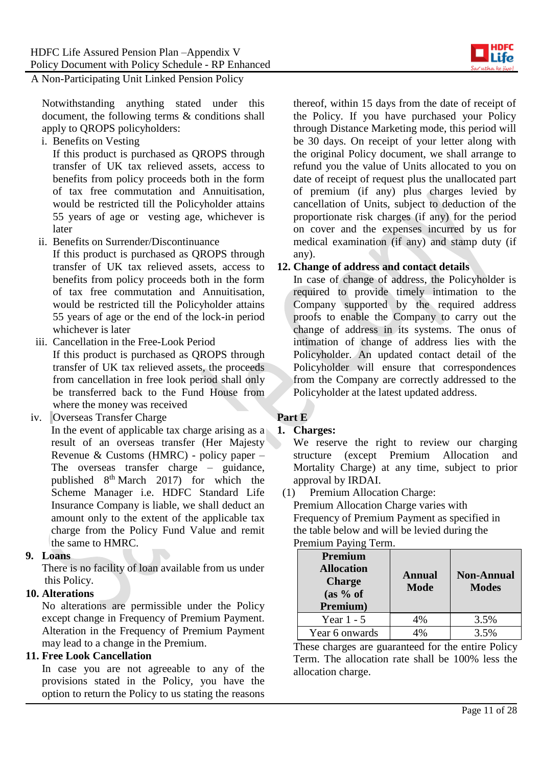

Notwithstanding anything stated under this document, the following terms & conditions shall apply to QROPS policyholders:

i. Benefits on Vesting

If this product is purchased as QROPS through transfer of UK tax relieved assets, access to benefits from policy proceeds both in the form of tax free commutation and Annuitisation, would be restricted till the Policyholder attains 55 years of age or vesting age, whichever is later

ii. Benefits on Surrender/Discontinuance

If this product is purchased as QROPS through transfer of UK tax relieved assets, access to benefits from policy proceeds both in the form of tax free commutation and Annuitisation, would be restricted till the Policyholder attains 55 years of age or the end of the lock-in period whichever is later

iii. Cancellation in the Free-Look Period If this product is purchased as QROPS through transfer of UK tax relieved assets, the proceeds from cancellation in free look period shall only be transferred back to the Fund House from where the money was received

iv. Overseas Transfer Charge

In the event of applicable tax charge arising as a result of an overseas transfer (Her Majesty Revenue & Customs (HMRC) - policy paper – The overseas transfer charge – guidance, published  $8<sup>th</sup>$  March 2017) for which the Scheme Manager i.e. HDFC Standard Life Insurance Company is liable, we shall deduct an amount only to the extent of the applicable tax charge from the Policy Fund Value and remit the same to HMRC.

## **9. Loans**

There is no facility of loan available from us under this Policy.

#### **10. Alterations**

No alterations are permissible under the Policy except change in Frequency of Premium Payment. Alteration in the Frequency of Premium Payment may lead to a change in the Premium.

## **11. Free Look Cancellation**

In case you are not agreeable to any of the provisions stated in the Policy, you have the option to return the Policy to us stating the reasons

thereof, within 15 days from the date of receipt of the Policy. If you have purchased your Policy through Distance Marketing mode, this period will be 30 days. On receipt of your letter along with the original Policy document, we shall arrange to refund you the value of Units allocated to you on date of receipt of request plus the unallocated part of premium (if any) plus charges levied by cancellation of Units, subject to deduction of the proportionate risk charges (if any) for the period on cover and the expenses incurred by us for medical examination (if any) and stamp duty (if any).

## **12. Change of address and contact details**

In case of change of address, the Policyholder is required to provide timely intimation to the Company supported by the required address proofs to enable the Company to carry out the change of address in its systems. The onus of intimation of change of address lies with the Policyholder. An updated contact detail of the Policyholder will ensure that correspondences from the Company are correctly addressed to the Policyholder at the latest updated address.

# **Part E**

## **1. Charges:**

We reserve the right to review our charging structure (except Premium Allocation and Mortality Charge) at any time, subject to prior approval by IRDAI.

(1) Premium Allocation Charge:

Premium Allocation Charge varies with Frequency of Premium Payment as specified in the table below and will be levied during the Premium Paying Term.

| Premium<br><b>Allocation</b><br><b>Charge</b><br>(as 9/6 of<br>Premium) | Annual<br><b>Mode</b> | <b>Non-Annual</b><br><b>Modes</b> |
|-------------------------------------------------------------------------|-----------------------|-----------------------------------|
| Year $1 - 5$                                                            | 4%                    | 3.5%                              |
| Year 6 onwards                                                          |                       | 3.5%                              |

These charges are guaranteed for the entire Policy Term. The allocation rate shall be 100% less the allocation charge.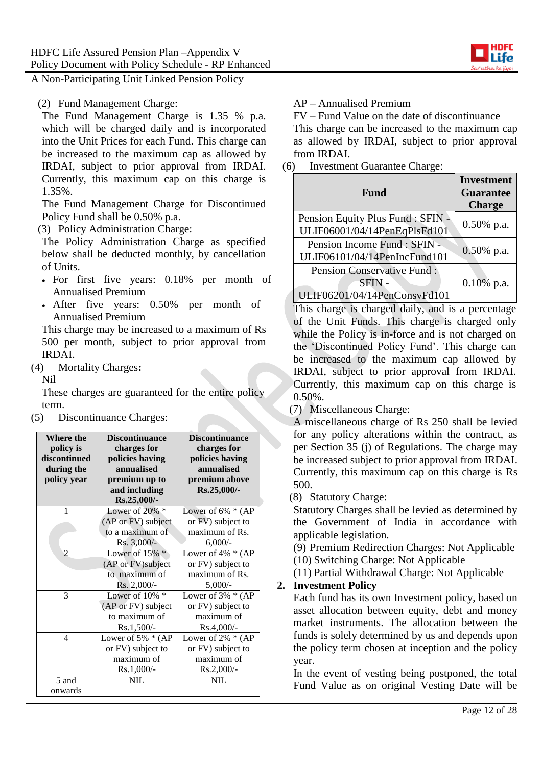

(2) Fund Management Charge:

The Fund Management Charge is 1.35 % p.a. which will be charged daily and is incorporated into the Unit Prices for each Fund. This charge can be increased to the maximum cap as allowed by IRDAI, subject to prior approval from IRDAI. Currently, this maximum cap on this charge is 1.35%.

The Fund Management Charge for Discontinued Policy Fund shall be 0.50% p.a.

(3) Policy Administration Charge:

The Policy Administration Charge as specified below shall be deducted monthly, by cancellation of Units.

- For first five years: 0.18% per month of Annualised Premium
- After five years: 0.50% per month of Annualised Premium

This charge may be increased to a maximum of Rs 500 per month, subject to prior approval from IRDAI.

(4) Mortality Charges**:**

#### Nil

These charges are guaranteed for the entire policy term.

(5) Discontinuance Charges:

| <b>Where the</b>         | <b>Discontinuance</b> | <b>Discontinuance</b> |  |
|--------------------------|-----------------------|-----------------------|--|
| policy is                | charges for           | charges for           |  |
| discontinued             | policies having       | policies having       |  |
| during the               | annualised            | annualised            |  |
| policy year              | premium up to         | premium above         |  |
|                          | and including         | Rs.25,000/-           |  |
|                          | Rs.25,000/-           |                       |  |
| 1                        | Lower of $20\%$ *     | Lower of 6% * (AP     |  |
|                          | (AP or FV) subject    | or FV) subject to     |  |
|                          | to a maximum of       | maximum of Rs.        |  |
|                          | $Rs. 3,000/-$         | $6,000/$ -            |  |
| $\overline{\mathcal{L}}$ | Lower of $15\%$ *     | Lower of $4\% * (AP)$ |  |
|                          | (AP or FV) subject    | or FV) subject to     |  |
|                          | to maximum of         | maximum of Rs.        |  |
|                          | $Rs. 2,000/-$         | $5,000/-$             |  |
| 3                        | Lower of $10\%$ *     | Lower of $3\% * (AP)$ |  |
|                          | (AP or FV) subject    | or FV) subject to     |  |
|                          | to maximum of         | maximum of            |  |
|                          | $Rs.1,500/-$          | $Rs.4,000/-$          |  |
| 4                        | Lower of $5\% * (AP)$ | Lower of $2\% * (AP)$ |  |
|                          | or FV) subject to     | or FV) subject to     |  |
|                          | maximum of            | maximum of            |  |
|                          | $Rs.1,000/-$          | $Rs.2,000/-$          |  |
| 5 and                    | <b>NIL</b>            | <b>NIL</b>            |  |
| onwards                  |                       |                       |  |

AP – Annualised Premium

FV – Fund Value on the date of discontinuance This charge can be increased to the maximum cap as allowed by IRDAI, subject to prior approval from IRDAI.

(6) Investment Guarantee Charge:

| Fund                                                                        | <b>Investment</b><br><b>Guarantee</b><br><b>Charge</b> |
|-----------------------------------------------------------------------------|--------------------------------------------------------|
| Pension Equity Plus Fund : SFIN -<br>ULIF06001/04/14PenEqPlsFd101           | $0.50\%$ p.a.                                          |
| Pension Income Fund : SFIN -<br>ULIF06101/04/14PenIncFund101                | 0.50% p.a.                                             |
| <b>Pension Conservative Fund:</b><br>SFIN -<br>ULIF06201/04/14PenConsvFd101 | $0.10\%$ p.a.                                          |

This charge is charged daily, and is a percentage of the Unit Funds. This charge is charged only while the Policy is in-force and is not charged on the 'Discontinued Policy Fund'. This charge can be increased to the maximum cap allowed by IRDAI, subject to prior approval from IRDAI. Currently, this maximum cap on this charge is 0.50%.

(7) Miscellaneous Charge:

A miscellaneous charge of Rs 250 shall be levied for any policy alterations within the contract, as per Section 35 (j) of Regulations. The charge may be increased subject to prior approval from IRDAI. Currently, this maximum cap on this charge is Rs 500.

(8) Statutory Charge:

Statutory Charges shall be levied as determined by the Government of India in accordance with applicable legislation.

(9) Premium Redirection Charges: Not Applicable

(10) Switching Charge: Not Applicable

(11) Partial Withdrawal Charge: Not Applicable

## **2. Investment Policy**

Each fund has its own Investment policy, based on asset allocation between equity, debt and money market instruments. The allocation between the funds is solely determined by us and depends upon the policy term chosen at inception and the policy year.

In the event of vesting being postponed, the total Fund Value as on original Vesting Date will be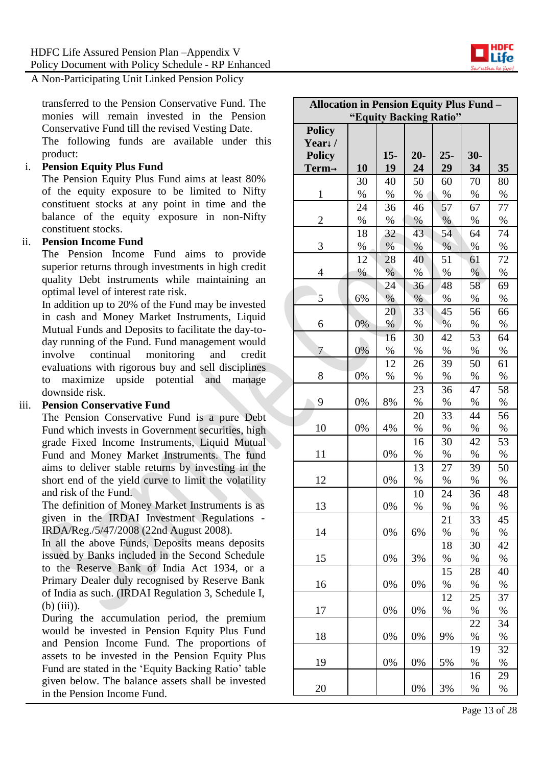transferred to the Pension Conservative Fund. The monies will remain invested in the Pension Conservative Fund till the revised Vesting Date. The following funds are available under this product:

#### i. **Pension Equity Plus Fund**

The Pension Equity Plus Fund aims at least 80% of the equity exposure to be limited to Nifty constituent stocks at any point in time and the balance of the equity exposure in non-Nifty constituent stocks.

#### ii. **Pension Income Fund**

The Pension Income Fund aims to provide superior returns through investments in high credit quality Debt instruments while maintaining an optimal level of interest rate risk.

In addition up to 20% of the Fund may be invested in cash and Money Market Instruments, Liquid Mutual Funds and Deposits to facilitate the day-today running of the Fund. Fund management would involve continual monitoring and credit evaluations with rigorous buy and sell disciplines to maximize upside potential and manage downside risk.

#### iii. **Pension Conservative Fund**

The Pension Conservative Fund is a pure Debt Fund which invests in Government securities, high grade Fixed Income Instruments, Liquid Mutual Fund and Money Market Instruments. The fund aims to deliver stable returns by investing in the short end of the yield curve to limit the volatility and risk of the Fund.

The definition of Money Market Instruments is as given in the IRDAI Investment Regulations - IRDA/Reg./5/47/2008 (22nd August 2008).

In all the above Funds, Deposits means deposits issued by Banks included in the Second Schedule to the Reserve Bank of India Act 1934, or a Primary Dealer duly recognised by Reserve Bank of India as such. (IRDAI Regulation 3, Schedule I, (b) (iii)).

During the accumulation period, the premium would be invested in Pension Equity Plus Fund and Pension Income Fund. The proportions of assets to be invested in the Pension Equity Plus Fund are stated in the 'Equity Backing Ratio' table given below. The balance assets shall be invested in the Pension Income Fund.

| <b>Allocation in Pension Equity Plus Fund -</b> |      |         |         |            |            |            |
|-------------------------------------------------|------|---------|---------|------------|------------|------------|
| "Equity Backing Ratio"                          |      |         |         |            |            |            |
| <b>Policy</b>                                   |      |         |         |            |            |            |
| Year <sub>1</sub> /                             |      |         |         |            |            |            |
| <b>Policy</b>                                   |      | $15-$   | $20-$   | $25 -$     | $30-$      |            |
| $Term\rightarrow$                               | 10   | 19      | 24      | 29         | 34         | 35         |
|                                                 | 30   | 40      | 50      | 60         | 70         | 80         |
| $\mathbf{1}$                                    | %    | $\%$    | $\%$    | $\%$       | $\%$       | $\%$       |
|                                                 | 24   | 36      | 46      | 57         | 67         | 77         |
| $\overline{2}$                                  | $\%$ | $\%$    | %       | $\%$       | $\%$       | $\%$       |
|                                                 | 18   | 32      | 43      | 54         | 64         | 74         |
| 3                                               | $\%$ | $\%$    | %       | $\%$       | %          | %          |
|                                                 | 12   | 28      | 40      | 51         | 61         | 72         |
| 4                                               | %    | $\%$    | %       | $\%$       | $\%$       | $\%$       |
|                                                 |      | 24      | 36      | 48         | 58         | 69         |
| 5                                               | 6%   | $\%$    | $\%$    | $\%$       | $\%$       | $\%$       |
| 6                                               | 0%   | 20<br>% | 33      | 45<br>%    | 56         | 66         |
|                                                 |      | 16      | %<br>30 |            | $\%$<br>53 | $\%$<br>64 |
| 7                                               | 0%   | $\%$    | %       | 42<br>$\%$ | $\%$       | $\%$       |
|                                                 |      | 12      | 26      | 39         | 50         | 61         |
| 8                                               | 0%   | $\%$    | $\%$    | $\%$       | $\%$       | %          |
|                                                 |      |         | 23      | 36         | 47         | 58         |
| 9                                               | 0%   | 8%      | $\%$    | %          | $\%$       | %          |
|                                                 |      |         | 20      | 33         | 44         | 56         |
| 10                                              | 0%   | 4%      | $\%$    | $\%$       | $\%$       | $\%$       |
|                                                 |      |         | 16      | 30         | 42         | 53         |
| 11                                              |      | 0%      | $\%$    | $\%$       | $\%$       | $\%$       |
|                                                 |      |         | 13      | 27         | 39         | 50         |
| 12                                              |      | 0%      | $\%$    | $\%$       | $\%$       | $\%$       |
|                                                 |      |         | 10      | 24         | 36         | 48         |
| 13                                              |      | 0%      | $\%$    | $\%$       | $\%$       | $\%$       |
|                                                 |      |         |         | 21         | 33         | 45         |
| 14                                              |      | 0%      | 6%      | $\%$       | $\%$       | $\%$       |
|                                                 |      |         |         | 18         | 30         | 42         |
| 15                                              |      | 0%      | 3%      | $\%$       | %          | %          |
|                                                 |      |         |         | 15         | 28         | 40         |
| 16                                              |      | 0%      | 0%      | %          | %          | %          |
|                                                 |      |         |         | 12         | 25         | 37         |
| 17                                              |      | 0%      | 0%      | $\%$       | %          | $\%$       |
|                                                 |      |         |         |            | 22         | 34         |
| 18                                              |      | 0%      | 0%      | 9%         | %          | %          |
|                                                 |      | 0%      |         |            | 19         | 32         |
| 19                                              |      |         | 0%      | 5%         | %          | $\%$       |
| 20                                              |      |         | 0%      | 3%         | 16<br>$\%$ | 29<br>%    |
|                                                 |      |         |         |            |            |            |

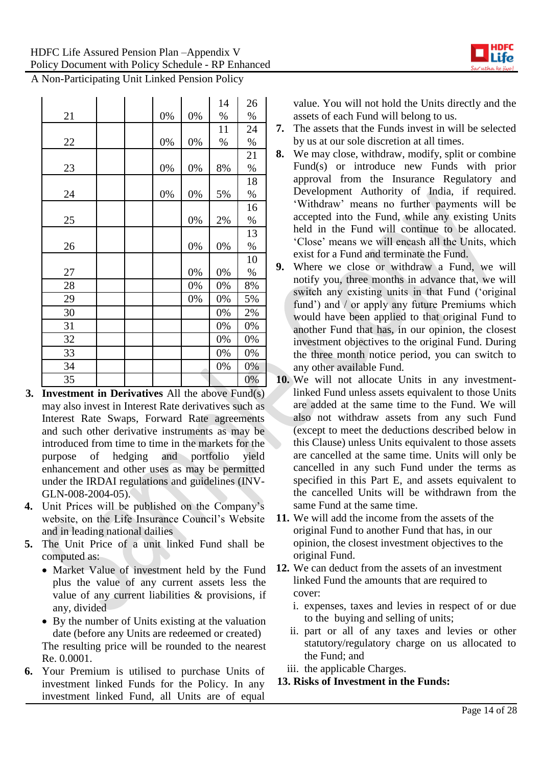

|    |  |    |    | 14 | 26   |
|----|--|----|----|----|------|
| 21 |  | 0% | 0% | %  | %    |
|    |  |    |    | 11 | 24   |
| 22 |  | 0% | 0% | %  | $\%$ |
|    |  |    |    |    | 21   |
| 23 |  | 0% | 0% | 8% | %    |
|    |  |    |    |    | 18   |
| 24 |  | 0% | 0% | 5% | $\%$ |
|    |  |    |    |    | 16   |
| 25 |  |    | 0% | 2% | %    |
|    |  |    |    |    | 13   |
| 26 |  |    | 0% | 0% | %    |
|    |  |    |    |    | 10   |
| 27 |  |    | 0% | 0% | %    |
| 28 |  |    | 0% | 0% | 8%   |
| 29 |  |    | 0% | 0% | 5%   |
| 30 |  |    |    | 0% | 2%   |
| 31 |  |    |    | 0% | 0%   |
| 32 |  |    |    | 0% | 0%   |
| 33 |  |    |    | 0% | 0%   |
| 34 |  |    |    | 0% | 0%   |
| 35 |  |    |    |    | 0%   |

- **3. Investment in Derivatives** All the above Fund(s) may also invest in Interest Rate derivatives such as Interest Rate Swaps, Forward Rate agreements and such other derivative instruments as may be introduced from time to time in the markets for the purpose of hedging and portfolio yield enhancement and other uses as may be permitted under the IRDAI regulations and guidelines (INV-GLN-008-2004-05).
- **4.** Unit Prices will be published on the Company's website, on the Life Insurance Council's Website and in leading national dailies
- **5.** The Unit Price of a unit linked Fund shall be computed as:
	- Market Value of investment held by the Fund plus the value of any current assets less the value of any current liabilities & provisions, if any, divided
	- By the number of Units existing at the valuation date (before any Units are redeemed or created) The resulting price will be rounded to the nearest Re. 0.0001.
- **6.** Your Premium is utilised to purchase Units of investment linked Funds for the Policy. In any investment linked Fund, all Units are of equal

value. You will not hold the Units directly and the assets of each Fund will belong to us.

- **7.** The assets that the Funds invest in will be selected by us at our sole discretion at all times.
- **8.** We may close, withdraw, modify, split or combine Fund(s) or introduce new Funds with prior approval from the Insurance Regulatory and Development Authority of India, if required. 'Withdraw' means no further payments will be accepted into the Fund, while any existing Units held in the Fund will continue to be allocated. 'Close' means we will encash all the Units, which exist for a Fund and terminate the Fund.
- **9.** Where we close or withdraw a Fund, we will notify you, three months in advance that, we will switch any existing units in that Fund ('original fund') and / or apply any future Premiums which would have been applied to that original Fund to another Fund that has, in our opinion, the closest investment objectives to the original Fund. During the three month notice period, you can switch to any other available Fund.
- **10.** We will not allocate Units in any investmentlinked Fund unless assets equivalent to those Units are added at the same time to the Fund. We will also not withdraw assets from any such Fund (except to meet the deductions described below in this Clause) unless Units equivalent to those assets are cancelled at the same time. Units will only be cancelled in any such Fund under the terms as specified in this Part E, and assets equivalent to the cancelled Units will be withdrawn from the same Fund at the same time.
- **11.** We will add the income from the assets of the original Fund to another Fund that has, in our opinion, the closest investment objectives to the original Fund.
- **12.** We can deduct from the assets of an investment linked Fund the amounts that are required to cover:
	- i. expenses, taxes and levies in respect of or due to the buying and selling of units;
	- ii. part or all of any taxes and levies or other statutory/regulatory charge on us allocated to the Fund; and
	- iii. the applicable Charges.

# **13. Risks of Investment in the Funds:**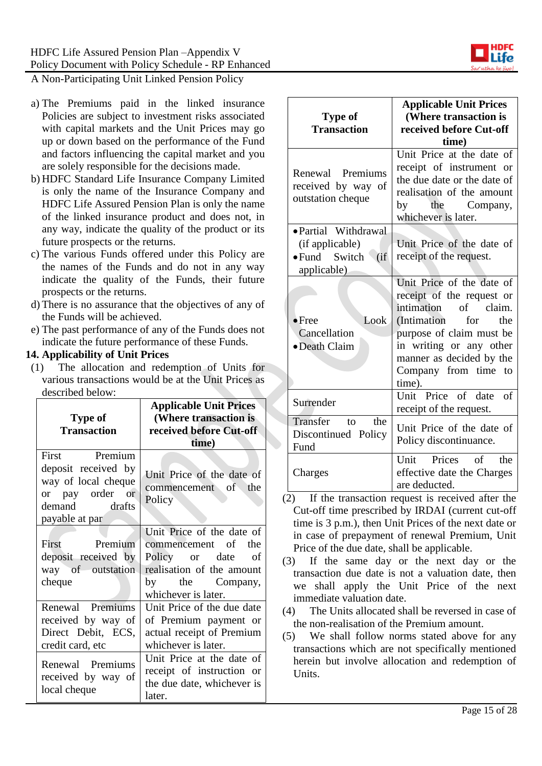

- a) The Premiums paid in the linked insurance Policies are subject to investment risks associated with capital markets and the Unit Prices may go up or down based on the performance of the Fund and factors influencing the capital market and you are solely responsible for the decisions made.
- b) HDFC Standard Life Insurance Company Limited is only the name of the Insurance Company and HDFC Life Assured Pension Plan is only the name of the linked insurance product and does not, in any way, indicate the quality of the product or its future prospects or the returns.
- c) The various Funds offered under this Policy are the names of the Funds and do not in any way indicate the quality of the Funds, their future prospects or the returns.
- d) There is no assurance that the objectives of any of the Funds will be achieved.
- e) The past performance of any of the Funds does not indicate the future performance of these Funds.

## **14. Applicability of Unit Prices**

(1) The allocation and redemption of Units for various transactions would be at the Unit Prices as described below:

| <b>Type of</b><br><b>Transaction</b>                                                                              | <b>Applicable Unit Prices</b><br>(Where transaction is<br>received before Cut-off<br>time)                                                   |
|-------------------------------------------------------------------------------------------------------------------|----------------------------------------------------------------------------------------------------------------------------------------------|
| First Premium<br>deposit received by<br>way of local cheque<br>or pay order or<br>demand drafts<br>payable at par | Unit Price of the date of<br>commencement of the<br>Policy                                                                                   |
| First Premium<br>deposit received by<br>way of outstation<br>cheque                                               | Unit Price of the date of<br>commencement of the<br>Policy or date of<br>realisation of the amount<br>by the Company,<br>whichever is later. |
| Renewal Premiums<br>received by way of<br>Direct Debit, ECS,<br>credit card, etc                                  | Unit Price of the due date<br>of Premium payment or<br>actual receipt of Premium<br>whichever is later.                                      |
| Renewal Premiums<br>received by way of<br>local cheque                                                            | Unit Price at the date of<br>receipt of instruction or<br>the due date, whichever is<br>later.                                               |

| <b>Type of</b><br><b>Transaction</b>                                            | <b>Applicable Unit Prices</b><br>(Where transaction is<br>received before Cut-off<br>time)                                                                                                                                                                                                                                                               |
|---------------------------------------------------------------------------------|----------------------------------------------------------------------------------------------------------------------------------------------------------------------------------------------------------------------------------------------------------------------------------------------------------------------------------------------------------|
| Renewal Premiums<br>received by way of<br>outstation cheque                     | Unit Price at the date of<br>receipt of instrument or<br>the due date or the date of<br>realisation of the amount<br>by<br>the Company,<br>whichever is later.                                                                                                                                                                                           |
| • Partial Withdrawal<br>(if applicable)<br>• Fund Switch<br>(ii)<br>applicable) | Unit Price of the date of<br>receipt of the request.                                                                                                                                                                                                                                                                                                     |
| $\bullet$ Free<br>Look<br>Cancellation<br>• Death Claim                         | Unit Price of the date of<br>receipt of the request or<br>intimation<br>$\sigma$<br>claim.<br>(Intimation)<br>for<br>the the the the state of the state of the state of the state in the state of the state in the state in the sta<br>purpose of claim must be<br>in writing or any other<br>manner as decided by the<br>Company from time to<br>time). |
| Surrender                                                                       | Unit Price of date<br>of<br>receipt of the request.                                                                                                                                                                                                                                                                                                      |
| Transfer<br>the<br>$f_{\Omega}$<br>Discontinued Policy<br>Fund                  | Unit Price of the date of<br>Policy discontinuance.                                                                                                                                                                                                                                                                                                      |
| Charges                                                                         | Unit Prices<br>of<br>the<br>effective date the Charges<br>are deducted.                                                                                                                                                                                                                                                                                  |

- (2) If the transaction request is received after the Cut-off time prescribed by IRDAI (current cut-off time is 3 p.m.), then Unit Prices of the next date or in case of prepayment of renewal Premium, Unit Price of the due date, shall be applicable.
- (3) If the same day or the next day or the transaction due date is not a valuation date, then we shall apply the Unit Price of the next immediate valuation date.
- (4) The Units allocated shall be reversed in case of the non-realisation of the Premium amount.
- (5) We shall follow norms stated above for any transactions which are not specifically mentioned herein but involve allocation and redemption of Units.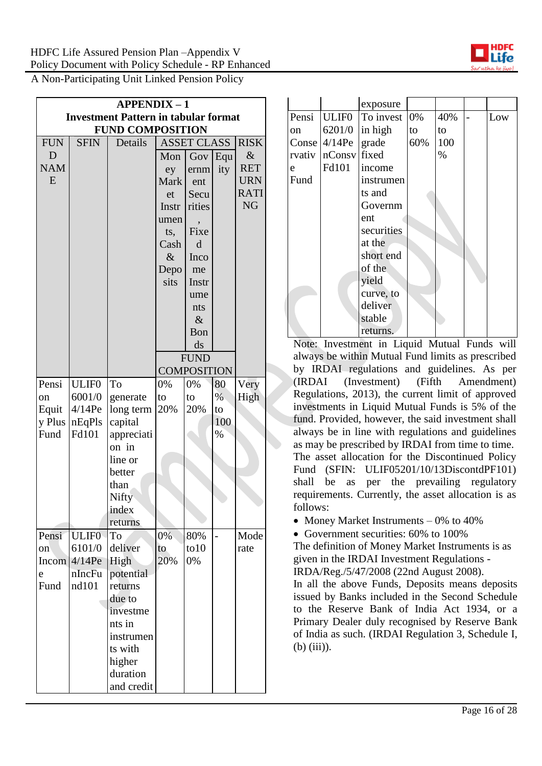

|               | $APPENDIX - 1$                              |            |       |                        |      |             |
|---------------|---------------------------------------------|------------|-------|------------------------|------|-------------|
|               | <b>Investment Pattern in tabular format</b> |            |       |                        |      |             |
|               | <b>FUND COMPOSITION</b>                     |            |       |                        |      |             |
| <b>FUN</b>    | <b>SFIN</b>                                 | Details    |       | <b>ASSET CLASS</b>     |      | <b>RISK</b> |
| D             |                                             |            | Mon   | Gov                    | Equ  | $\&$        |
| <b>NAM</b>    |                                             |            | ey    | ernm                   | ity  | <b>RET</b>  |
| E             |                                             |            | Mark  | ent                    |      | <b>URN</b>  |
|               |                                             |            | et    | Secu                   |      | <b>RATI</b> |
|               |                                             |            | Instr | rities                 |      | <b>NG</b>   |
|               |                                             |            | umen  |                        |      |             |
|               |                                             |            | ts,   | Fixe                   |      |             |
|               |                                             |            | Cash  | d                      |      |             |
|               |                                             |            | $\&$  | Inco                   |      |             |
|               |                                             |            | Depo  | me                     |      |             |
|               |                                             |            | sits  | Instr                  |      |             |
|               |                                             |            |       | ume                    |      |             |
|               |                                             |            |       | nts                    |      |             |
|               |                                             |            |       | $\&$                   |      |             |
|               |                                             |            |       | Bon                    |      |             |
|               |                                             |            |       | $\mathrm{d}\mathrm{s}$ |      |             |
|               |                                             |            |       | <b>FUND</b>            |      |             |
|               |                                             |            |       | <b>COMPOSITION</b>     |      |             |
| Pensi         | <b>ULIF0</b>                                | To         | 0%    | 0%                     | 80   | Very        |
| on            | 6001/0                                      | generate   | to    | to                     | $\%$ | High        |
| Equit         | $4/14$ Pe                                   | long term  | 20%   | 20%                    | to   |             |
| y Plus        | nEqPIs                                      | capital    |       |                        | 100  |             |
| Fund          | Fd101                                       | appreciati |       |                        | $\%$ |             |
|               |                                             | on in      |       |                        |      |             |
|               |                                             | line or    |       |                        |      |             |
|               |                                             | better     |       |                        |      |             |
|               |                                             | than       |       |                        |      |             |
|               |                                             | Nifty      |       |                        |      |             |
|               |                                             | index      |       |                        |      |             |
|               |                                             | returns    |       |                        |      |             |
| Pensi         | <b>ULIF0</b>                                | To         | 0%    | 80%                    |      | Mode        |
| <sub>on</sub> | 6101/0                                      | deliver    | to    | $\text{to}10$          |      | rate        |
| Incom         | $4/14$ Pe                                   | High       | 20%   | 0%                     |      |             |
| e             | nIncFu                                      | potential  |       |                        |      |             |
| Fund          | nd101                                       | returns    |       |                        |      |             |
|               |                                             | due to     |       |                        |      |             |
|               |                                             | investme   |       |                        |      |             |
|               |                                             | nts in     |       |                        |      |             |
|               |                                             | instrumen  |       |                        |      |             |
|               |                                             | ts with    |       |                        |      |             |
|               |                                             | higher     |       |                        |      |             |
|               |                                             | duration   |       |                        |      |             |
|               |                                             | and credit |       |                        |      |             |

|               |                         | exposure   |     |      |     |
|---------------|-------------------------|------------|-----|------|-----|
| Pensi         | ULIF <sub>0</sub>       | To invest  | 0%  | 40%  | Low |
| <sub>on</sub> | 6201/0                  | in high    | to  | to   |     |
|               | Conse $\frac{4}{14}$ Pe | grade      | 60% | 100  |     |
| rvativ        | nConsv                  | fixed      |     | $\%$ |     |
| e             | Fd101                   | income     |     |      |     |
| Fund          |                         | instrumen  |     |      |     |
|               |                         | ts and     |     |      |     |
|               |                         | Governm    |     |      |     |
|               |                         | ent        |     |      |     |
|               |                         | securities |     |      |     |
|               |                         | at the     |     |      |     |
|               |                         | short end  |     |      |     |
|               |                         | of the     |     |      |     |
|               |                         | yield      |     |      |     |
|               |                         | curve, to  |     |      |     |
|               |                         | deliver    |     |      |     |
|               |                         | stable     |     |      |     |
|               |                         | returns.   |     |      |     |

Note: Investment in Liquid Mutual Funds will always be within Mutual Fund limits as prescribed by IRDAI regulations and guidelines. As per (IRDAI (Investment) (Fifth Amendment) Regulations, 2013), the current limit of approved investments in Liquid Mutual Funds is 5% of the fund. Provided, however, the said investment shall always be in line with regulations and guidelines as may be prescribed by IRDAI from time to time. The asset allocation for the Discontinued Policy Fund (SFIN: ULIF05201/10/13DiscontdPF101) shall be as per the prevailing regulatory requirements. Currently, the asset allocation is as follows:

• Money Market Instruments  $-0\%$  to 40%

Government securities: 60% to 100%

The definition of Money Market Instruments is as given in the IRDAI Investment Regulations - IRDA/Reg./5/47/2008 (22nd August 2008).

In all the above Funds, Deposits means deposits issued by Banks included in the Second Schedule to the Reserve Bank of India Act 1934, or a Primary Dealer duly recognised by Reserve Bank of India as such. (IRDAI Regulation 3, Schedule I, (b) (iii)).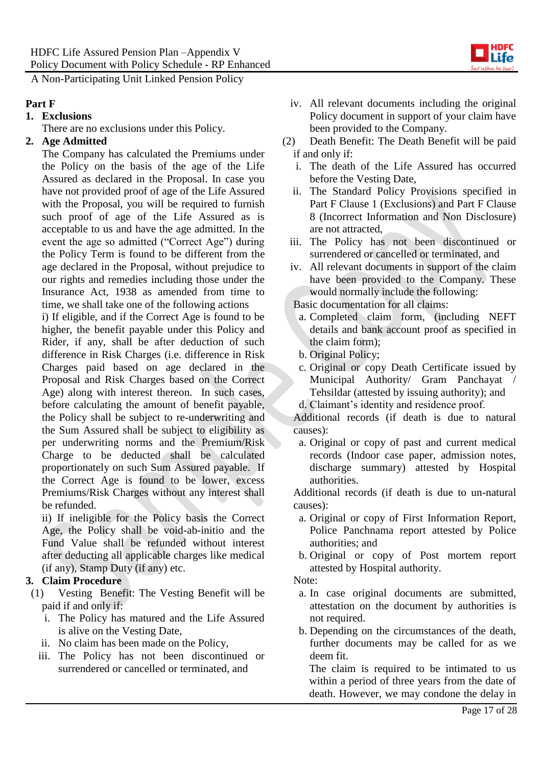

## **Part F**

# **1. Exclusions**

There are no exclusions under this Policy.

**2. Age Admitted**

The Company has calculated the Premiums under the Policy on the basis of the age of the Life Assured as declared in the Proposal. In case you have not provided proof of age of the Life Assured with the Proposal, you will be required to furnish such proof of age of the Life Assured as is acceptable to us and have the age admitted. In the event the age so admitted ("Correct Age") during the Policy Term is found to be different from the age declared in the Proposal, without prejudice to our rights and remedies including those under the Insurance Act, 1938 as amended from time to time, we shall take one of the following actions

i) If eligible, and if the Correct Age is found to be higher, the benefit payable under this Policy and Rider, if any, shall be after deduction of such difference in Risk Charges (i.e. difference in Risk Charges paid based on age declared in the Proposal and Risk Charges based on the Correct Age) along with interest thereon. In such cases, before calculating the amount of benefit payable, the Policy shall be subject to re-underwriting and the Sum Assured shall be subject to eligibility as per underwriting norms and the Premium/Risk Charge to be deducted shall be calculated proportionately on such Sum Assured payable. If the Correct Age is found to be lower, excess Premiums/Risk Charges without any interest shall be refunded.

ii) If ineligible for the Policy basis the Correct Age, the Policy shall be void-ab-initio and the Fund Value shall be refunded without interest after deducting all applicable charges like medical (if any), Stamp Duty (if any) etc.

# **3. Claim Procedure**

- (1) Vesting Benefit: The Vesting Benefit will be paid if and only if:
	- i. The Policy has matured and the Life Assured is alive on the Vesting Date,
	- ii. No claim has been made on the Policy,
	- iii. The Policy has not been discontinued or surrendered or cancelled or terminated, and
- iv. All relevant documents including the original Policy document in support of your claim have been provided to the Company.
- (2) Death Benefit: The Death Benefit will be paid if and only if:
	- i. The death of the Life Assured has occurred before the Vesting Date,
	- ii. The Standard Policy Provisions specified in Part F Clause 1 (Exclusions) and Part F Clause 8 (Incorrect Information and Non Disclosure) are not attracted,
	- iii. The Policy has not been discontinued or surrendered or cancelled or terminated, and
	- iv. All relevant documents in support of the claim have been provided to the Company. These would normally include the following:

Basic documentation for all claims:

- a. Completed claim form, (including NEFT details and bank account proof as specified in the claim form);
- b. Original Policy;
- c. Original or copy Death Certificate issued by Municipal Authority/ Gram Panchayat / Tehsildar (attested by issuing authority); and
- d. Claimant's identity and residence proof.

Additional records (if death is due to natural causes):

a. Original or copy of past and current medical records (Indoor case paper, admission notes, discharge summary) attested by Hospital authorities.

Additional records (if death is due to un-natural causes):

- a. Original or copy of First Information Report, Police Panchnama report attested by Police authorities; and
- b. Original or copy of Post mortem report attested by Hospital authority.

Note:

- a. In case original documents are submitted, attestation on the document by authorities is not required.
- b. Depending on the circumstances of the death, further documents may be called for as we deem fit.

The claim is required to be intimated to us within a period of three years from the date of death. However, we may condone the delay in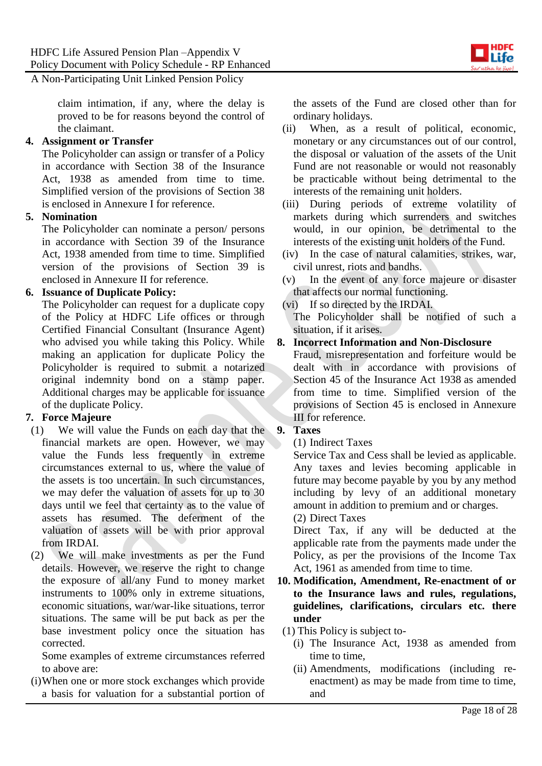

claim intimation, if any, where the delay is proved to be for reasons beyond the control of the claimant.

## **4. Assignment or Transfer**

The Policyholder can assign or transfer of a Policy in accordance with Section 38 of the Insurance Act, 1938 as amended from time to time. Simplified version of the provisions of Section 38 is enclosed in Annexure I for reference.

#### **5. Nomination**

The Policyholder can nominate a person/ persons in accordance with Section 39 of the Insurance Act, 1938 amended from time to time. Simplified version of the provisions of Section 39 is enclosed in Annexure II for reference.

#### **6. Issuance of Duplicate Policy:**

The Policyholder can request for a duplicate copy of the Policy at HDFC Life offices or through Certified Financial Consultant (Insurance Agent) who advised you while taking this Policy. While making an application for duplicate Policy the Policyholder is required to submit a notarized original indemnity bond on a stamp paper. Additional charges may be applicable for issuance of the duplicate Policy.

## **7. Force Majeure**

- (1) We will value the Funds on each day that the financial markets are open. However, we may value the Funds less frequently in extreme circumstances external to us, where the value of the assets is too uncertain. In such circumstances, we may defer the valuation of assets for up to 30 days until we feel that certainty as to the value of assets has resumed. The deferment of the valuation of assets will be with prior approval from IRDAI.
- (2) We will make investments as per the Fund details. However, we reserve the right to change the exposure of all/any Fund to money market instruments to 100% only in extreme situations, economic situations, war/war-like situations, terror situations. The same will be put back as per the base investment policy once the situation has corrected.

Some examples of extreme circumstances referred to above are:

(i)When one or more stock exchanges which provide a basis for valuation for a substantial portion of the assets of the Fund are closed other than for ordinary holidays.

- (ii) When, as a result of political, economic, monetary or any circumstances out of our control, the disposal or valuation of the assets of the Unit Fund are not reasonable or would not reasonably be practicable without being detrimental to the interests of the remaining unit holders.
- (iii) During periods of extreme volatility of markets during which surrenders and switches would, in our opinion, be detrimental to the interests of the existing unit holders of the Fund.
- (iv) In the case of natural calamities, strikes, war, civil unrest, riots and bandhs.
- (v) In the event of any force majeure or disaster that affects our normal functioning.
- (vi) If so directed by the IRDAI.

# **8. Incorrect Information and Non-Disclosure**

Fraud, misrepresentation and forfeiture would be dealt with in accordance with provisions of Section 45 of the Insurance Act 1938 as amended from time to time. Simplified version of the provisions of Section 45 is enclosed in Annexure III for reference.

## **9. Taxes**

(1) Indirect Taxes

Service Tax and Cess shall be levied as applicable. Any taxes and levies becoming applicable in future may become payable by you by any method including by levy of an additional monetary amount in addition to premium and or charges.

(2) Direct Taxes

Direct Tax, if any will be deducted at the applicable rate from the payments made under the Policy, as per the provisions of the Income Tax Act, 1961 as amended from time to time.

- **10. Modification, Amendment, Re-enactment of or to the Insurance laws and rules, regulations, guidelines, clarifications, circulars etc. there under**
	- (1) This Policy is subject to-
		- (i) The Insurance Act, 1938 as amended from time to time,
		- (ii) Amendments, modifications (including reenactment) as may be made from time to time, and

The Policyholder shall be notified of such a situation, if it arises.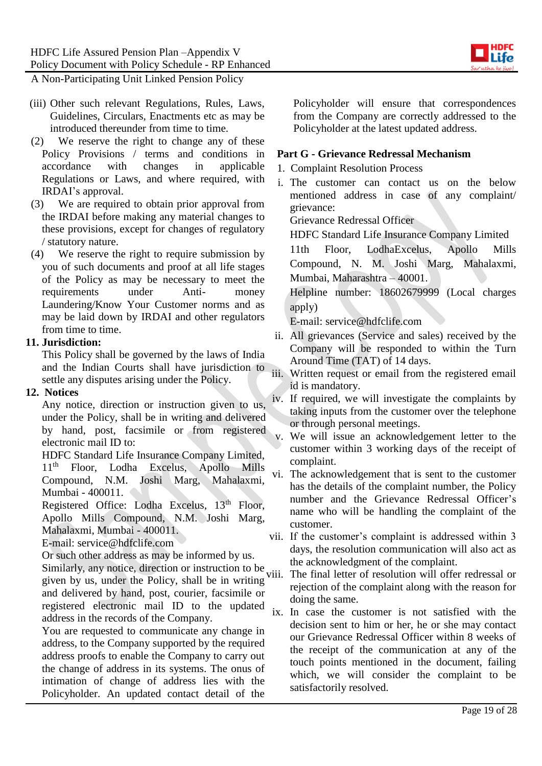

- (iii) Other such relevant Regulations, Rules, Laws, Guidelines, Circulars, Enactments etc as may be introduced thereunder from time to time.
- (2) We reserve the right to change any of these Policy Provisions / terms and conditions in accordance with changes in applicable Regulations or Laws, and where required, with IRDAI's approval.
- (3) We are required to obtain prior approval from the IRDAI before making any material changes to these provisions, except for changes of regulatory / statutory nature.
- (4) We reserve the right to require submission by you of such documents and proof at all life stages of the Policy as may be necessary to meet the requirements under Anti- money Laundering/Know Your Customer norms and as may be laid down by IRDAI and other regulators from time to time.

## **11. Jurisdiction:**

This Policy shall be governed by the laws of India and the Indian Courts shall have jurisdiction to settle any disputes arising under the Policy.

## **12. Notices**

Any notice, direction or instruction given to us, under the Policy, shall be in writing and delivered by hand, post, facsimile or from registered electronic mail ID to:

HDFC Standard Life Insurance Company Limited, 11<sup>th</sup> Floor, Lodha Excelus, Apollo Mills Compound, N.M. Joshi Marg, Mahalaxmi, Mumbai - 400011.

Registered Office: Lodha Excelus, 13<sup>th</sup> Floor, Apollo Mills Compound, N.M. Joshi Marg, Mahalaxmi, Mumbai - 400011.

E-mail: service@hdfclife.com

Or such other address as may be informed by us. Similarly, any notice, direction or instruction to be viii. given by us, under the Policy, shall be in writing and delivered by hand, post, courier, facsimile or registered electronic mail ID to the updated address in the records of the Company.

You are requested to communicate any change in address, to the Company supported by the required address proofs to enable the Company to carry out the change of address in its systems. The onus of intimation of change of address lies with the Policyholder. An updated contact detail of the Policyholder will ensure that correspondences from the Company are correctly addressed to the Policyholder at the latest updated address.

## **Part G - Grievance Redressal Mechanism**

- 1. Complaint Resolution Process
- i. The customer can contact us on the below mentioned address in case of any complaint/ grievance:

Grievance Redressal Officer

HDFC Standard Life Insurance Company Limited

11th Floor, LodhaExcelus, Apollo Mills Compound, N. M. Joshi Marg, Mahalaxmi, Mumbai, Maharashtra – 40001.

Helpline number: 18602679999 (Local charges apply)

E-mail: service@hdfclife.com

- ii. All grievances (Service and sales) received by the Company will be responded to within the Turn Around Time (TAT) of 14 days.
- iii. Written request or email from the registered email id is mandatory.
- iv. If required, we will investigate the complaints by taking inputs from the customer over the telephone or through personal meetings.
- v. We will issue an acknowledgement letter to the customer within 3 working days of the receipt of complaint.
- vi. The acknowledgement that is sent to the customer has the details of the complaint number, the Policy number and the Grievance Redressal Officer's name who will be handling the complaint of the customer.
- vii. If the customer's complaint is addressed within 3 days, the resolution communication will also act as the acknowledgment of the complaint.

The final letter of resolution will offer redressal or rejection of the complaint along with the reason for doing the same.

ix. In case the customer is not satisfied with the decision sent to him or her, he or she may contact our Grievance Redressal Officer within 8 weeks of the receipt of the communication at any of the touch points mentioned in the document, failing which, we will consider the complaint to be satisfactorily resolved.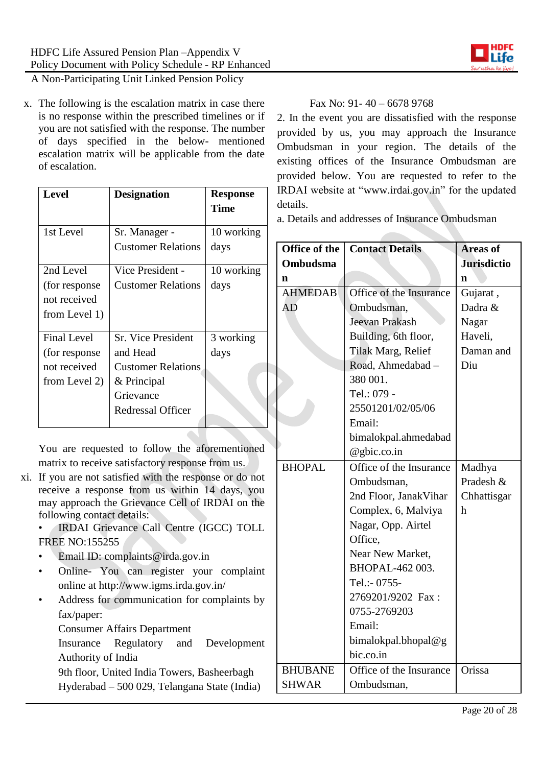x. The following is the escalation matrix in case there is no response within the prescribed timelines or if you are not satisfied with the response. The number of days specified in the below- mentioned escalation matrix will be applicable from the date of escalation.

| <b>Level</b>                                                          | <b>Designation</b>                                                                                                         | <b>Response</b><br>Time |
|-----------------------------------------------------------------------|----------------------------------------------------------------------------------------------------------------------------|-------------------------|
| 1st Level                                                             | Sr. Manager -<br><b>Customer Relations</b>                                                                                 | 10 working<br>days      |
| 2nd Level<br>(for response)<br>not received<br>from Level 1)          | Vice President -<br><b>Customer Relations</b>                                                                              | 10 working<br>days      |
| <b>Final Level</b><br>(for response)<br>not received<br>from Level 2) | <b>Sr.</b> Vice President<br>and Head<br><b>Customer Relations</b><br>& Principal<br>Grievance<br><b>Redressal Officer</b> | 3 working<br>days       |

You are requested to follow the aforementioned matrix to receive satisfactory response from us.

xi. If you are not satisfied with the response or do not receive a response from us within 14 days, you may approach the Grievance Cell of IRDAI on the following contact details:

• IRDAI Grievance Call Centre (IGCC) TOLL FREE NO:155255

- Email ID: complaints@irda.gov.in
- Online- You can register your complaint online at http://www.igms.irda.gov.in/
- Address for communication for complaints by fax/paper:
	- Consumer Affairs Department

Insurance Regulatory and Development Authority of India

9th floor, United India Towers, Basheerbagh Hyderabad – 500 029, Telangana State (India)

# Fax No: 91- 40 – 6678 9768

2. In the event you are dissatisfied with the response provided by us, you may approach the Insurance Ombudsman in your region. The details of the existing offices of the Insurance Ombudsman are provided below. You are requested to refer to the IRDAI website at "www.irdai.gov.in" for the updated details.

a. Details and addresses of Insurance Ombudsman

| <b>Office of the</b> | <b>Contact Details</b>  | <b>Areas of</b>    |
|----------------------|-------------------------|--------------------|
| <b>Ombudsma</b>      |                         | <b>Jurisdictio</b> |
| n                    |                         | $\mathbf n$        |
| <b>AHMEDAB</b>       | Office of the Insurance | Gujarat,           |
| <b>AD</b>            | Ombudsman,              | Dadra &            |
|                      | Jeevan Prakash          | Nagar              |
|                      | Building, 6th floor,    | Haveli,            |
|                      | Tilak Marg, Relief      | Daman and          |
|                      | Road, Ahmedabad -       | Diu                |
|                      | 380 001.                |                    |
|                      | Tel.: 079 -             |                    |
|                      | 25501201/02/05/06       |                    |
|                      | Email:                  |                    |
|                      | bimalokpal.ahmedabad    |                    |
|                      | @gbic.co.in             |                    |
| <b>BHOPAL</b>        | Office of the Insurance | Madhya             |
|                      | Ombudsman,              | Pradesh &          |
|                      | 2nd Floor, JanakVihar   | Chhattisgar        |
|                      | Complex, 6, Malviya     | $\mathbf h$        |
|                      | Nagar, Opp. Airtel      |                    |
|                      | Office.                 |                    |
|                      | Near New Market,        |                    |
|                      | BHOPAL-462 003.         |                    |
|                      | Tel.:- 0755-            |                    |
|                      | 2769201/9202 Fax:       |                    |
|                      | 0755-2769203            |                    |
|                      | Email:                  |                    |
|                      | bimalokpal.bhopal@g     |                    |
|                      | bic.co.in               |                    |
| <b>BHUBANE</b>       | Office of the Insurance | Orissa             |
| <b>SHWAR</b>         | Ombudsman,              |                    |

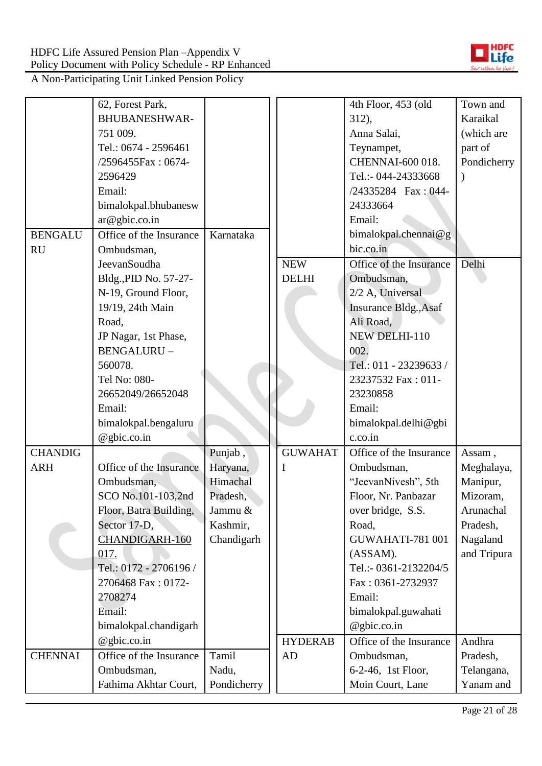

|                | 62, Forest Park,        |             |                | 4th Floor, 453 (old     | Town and    |
|----------------|-------------------------|-------------|----------------|-------------------------|-------------|
|                | <b>BHUBANESHWAR-</b>    |             |                | 312),                   | Karaikal    |
|                | 751 009.                |             |                | Anna Salai,             | (which are  |
|                | Tel.: 0674 - 2596461    |             |                | Teynampet,              | part of     |
|                | /2596455Fax: 0674-      |             |                | CHENNAI-600 018.        | Pondicherry |
|                | 2596429                 |             |                | Tel.:- 044-24333668     |             |
|                | Email:                  |             |                | /24335284 Fax: 044-     |             |
|                | bimalokpal.bhubanesw    |             |                | 24333664                |             |
|                | ar@gbic.co.in           |             |                | Email:                  |             |
| <b>BENGALU</b> | Office of the Insurance | Karnataka   |                | bimalokpal.chennai@g    |             |
| <b>RU</b>      | Ombudsman,              |             |                | bic.co.in               |             |
|                | JeevanSoudha            |             | <b>NEW</b>     | Office of the Insurance | Delhi       |
|                | Bldg., PID No. 57-27-   |             | <b>DELHI</b>   | Ombudsman,              |             |
|                | N-19, Ground Floor,     |             |                | 2/2 A, Universal        |             |
|                | 19/19, 24th Main        |             |                | Insurance Bldg., Asaf   |             |
|                | Road,                   |             |                | Ali Road,               |             |
|                | JP Nagar, 1st Phase,    |             |                | NEW DELHI-110           |             |
|                | <b>BENGALURU-</b>       |             |                | 002.                    |             |
|                | 560078.                 |             |                | Tel.: 011 - 23239633 /  |             |
|                | Tel No: 080-            |             |                | 23237532 Fax: 011-      |             |
|                | 26652049/26652048       |             |                | 23230858                |             |
|                | Email:                  |             |                | Email:                  |             |
|                | bimalokpal.bengaluru    |             |                | bimalokpal.delhi@gbi    |             |
|                | @gbic.co.in             |             |                | c.co.in                 |             |
| <b>CHANDIG</b> |                         | Punjab,     | <b>GUWAHAT</b> | Office of the Insurance | Assam,      |
| <b>ARH</b>     | Office of the Insurance | Haryana,    | I              | Ombudsman,              | Meghalaya,  |
|                | Ombudsman,              | Himachal    |                | "JeevanNivesh", 5th     | Manipur,    |
|                | SCO No.101-103,2nd      | Pradesh,    |                | Floor, Nr. Panbazar     | Mizoram,    |
|                | Floor, Batra Building,  | Jammu &     |                | over bridge, S.S.       | Arunachal   |
|                | Sector 17-D,            | Kashmir,    |                | Road,                   | Pradesh,    |
|                | <b>CHANDIGARH-160</b>   | Chandigarh  |                | GUWAHATI-781 001        | Nagaland    |
|                | 017.                    |             |                | (ASSAM).                | and Tripura |
|                | Tel.: 0172 - 2706196 /  |             |                | Tel.:- 0361-2132204/5   |             |
|                | 2706468 Fax: 0172-      |             |                | Fax: 0361-2732937       |             |
|                | 2708274                 |             |                | Email:                  |             |
|                | Email:                  |             |                | bimalokpal.guwahati     |             |
|                | bimalokpal.chandigarh   |             |                | @gbic.co.in             |             |
|                | @gbic.co.in             |             | <b>HYDERAB</b> | Office of the Insurance | Andhra      |
| <b>CHENNAI</b> | Office of the Insurance | Tamil       | <b>AD</b>      | Ombudsman,              | Pradesh,    |
|                | Ombudsman,              | Nadu,       |                | 6-2-46, 1st Floor,      | Telangana,  |
|                | Fathima Akhtar Court,   | Pondicherry |                | Moin Court, Lane        | Yanam and   |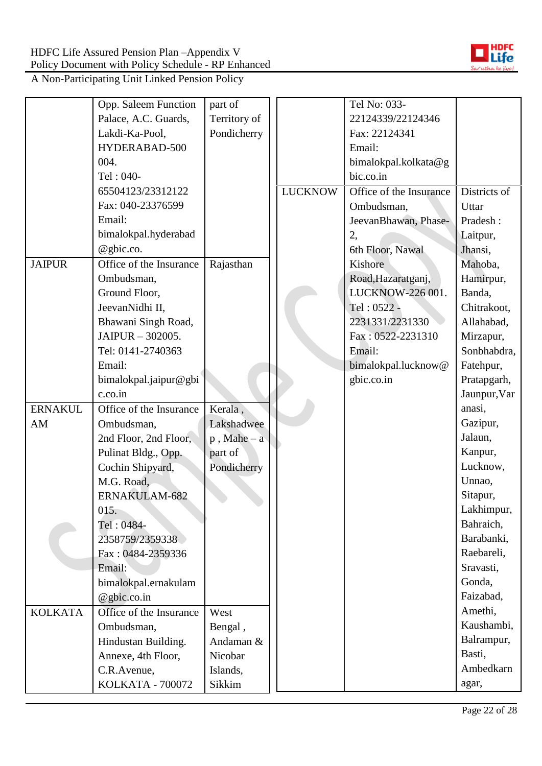

|                | Opp. Saleem Function    | part of         |                | Tel No: 033-            |              |
|----------------|-------------------------|-----------------|----------------|-------------------------|--------------|
|                | Palace, A.C. Guards,    | Territory of    |                | 22124339/22124346       |              |
|                | Lakdi-Ka-Pool,          | Pondicherry     |                | Fax: 22124341           |              |
|                | HYDERABAD-500           |                 |                | Email:                  |              |
|                | 004.                    |                 |                | bimalokpal.kolkata@g    |              |
|                | Tel: 040-               |                 |                | bic.co.in               |              |
|                | 65504123/23312122       |                 | <b>LUCKNOW</b> | Office of the Insurance | Districts of |
|                | Fax: 040-23376599       |                 |                | Ombudsman,              | Uttar        |
|                | Email:                  |                 |                | JeevanBhawan, Phase-    | Pradesh:     |
|                | bimalokpal.hyderabad    |                 |                | 2,                      | Laitpur,     |
|                | @gbic.co.               |                 |                | 6th Floor, Nawal        | Jhansi,      |
| <b>JAIPUR</b>  | Office of the Insurance | Rajasthan       |                | Kishore                 | Mahoba,      |
|                | Ombudsman,              |                 |                | Road, Hazaratganj,      | Hamirpur,    |
|                | Ground Floor,           |                 |                | LUCKNOW-226 001.        | Banda,       |
|                | JeevanNidhi II,         |                 |                | Tel: 0522 -             | Chitrakoot,  |
|                | Bhawani Singh Road,     |                 |                | 2231331/2231330         | Allahabad,   |
|                | JAIPUR - 302005.        |                 |                | Fax: 0522-2231310       | Mirzapur,    |
|                | Tel: 0141-2740363       |                 |                | Email:                  | Sonbhabdra,  |
|                | Email:                  |                 |                | bimalokpal.lucknow@     | Fatehpur,    |
|                | bimalokpal.jaipur@gbi   |                 |                | gbic.co.in              | Pratapgarh,  |
|                | c.co.in                 |                 |                |                         | Jaunpur, Var |
| <b>ERNAKUL</b> | Office of the Insurance | Kerala,         |                |                         | anasi,       |
| AM             | Ombudsman,              | Lakshadwee      |                |                         | Gazipur,     |
|                | 2nd Floor, 2nd Floor,   | $p$ , Mahe $-a$ |                |                         | Jalaun,      |
|                | Pulinat Bldg., Opp.     | part of         |                |                         | Kanpur,      |
|                | Cochin Shipyard,        | Pondicherry     |                |                         | Lucknow,     |
|                | M.G. Road,              |                 |                |                         | Unnao,       |
|                | ERNAKULAM-682           |                 |                |                         | Sitapur,     |
|                | 015.                    |                 |                |                         | Lakhimpur,   |
|                | Tel: 0484-              |                 |                |                         | Bahraich,    |
|                | 2358759/2359338         |                 |                |                         | Barabanki,   |
|                | Fax: 0484-2359336       |                 |                |                         | Raebareli,   |
|                | Email:                  |                 |                |                         | Sravasti,    |
|                | bimalokpal.ernakulam    |                 |                |                         | Gonda,       |
|                | @gbic.co.in             |                 |                |                         | Faizabad,    |
| <b>KOLKATA</b> | Office of the Insurance | West            |                |                         | Amethi,      |
|                | Ombudsman,              | Bengal,         |                |                         | Kaushambi,   |
|                | Hindustan Building.     | Andaman &       |                |                         | Balrampur,   |
|                | Annexe, 4th Floor,      | Nicobar         |                |                         | Basti,       |
|                | C.R.Avenue,             | Islands,        |                |                         | Ambedkarn    |
|                | <b>KOLKATA - 700072</b> | Sikkim          |                |                         | agar,        |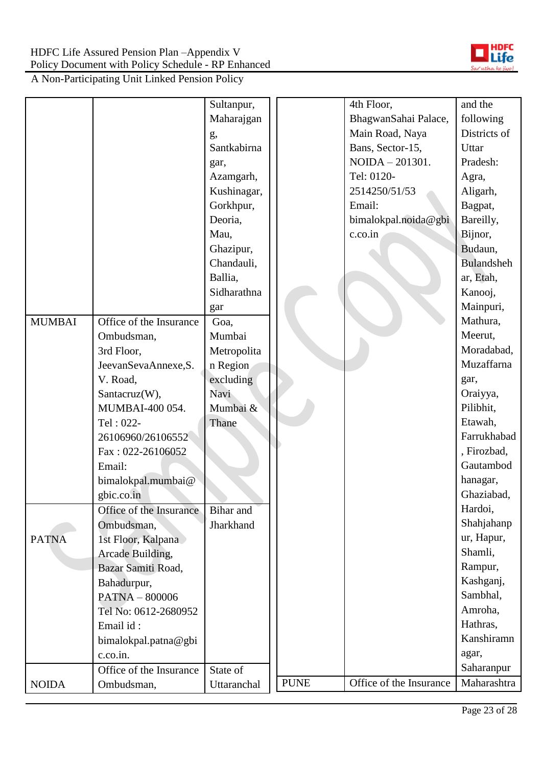

|               |                         | Sultanpur,  |             | 4th Floor,              | and the      |
|---------------|-------------------------|-------------|-------------|-------------------------|--------------|
|               |                         | Maharajgan  |             | BhagwanSahai Palace,    | following    |
|               |                         | g,          |             | Main Road, Naya         | Districts of |
|               |                         | Santkabirna |             | Bans, Sector-15,        | Uttar        |
|               |                         | gar,        |             | $NOIDA - 201301.$       | Pradesh:     |
|               |                         | Azamgarh,   |             | Tel: 0120-              | Agra,        |
|               |                         | Kushinagar, |             | 2514250/51/53           | Aligarh,     |
|               |                         | Gorkhpur,   |             | Email:                  | Bagpat,      |
|               |                         | Deoria,     |             | bimalokpal.noida@gbi    | Bareilly,    |
|               |                         | Mau,        |             | c.co.in                 | Bijnor,      |
|               |                         | Ghazipur,   |             |                         | Budaun,      |
|               |                         | Chandauli,  |             |                         | Bulandsheh   |
|               |                         | Ballia,     |             |                         | ar, Etah,    |
|               |                         | Sidharathna |             |                         | Kanooj,      |
|               |                         | gar         |             |                         | Mainpuri,    |
| <b>MUMBAI</b> | Office of the Insurance | Goa,        |             |                         | Mathura,     |
|               | Ombudsman,              | Mumbai      |             |                         | Meerut,      |
|               | 3rd Floor,              | Metropolita |             |                         | Moradabad,   |
|               | JeevanSevaAnnexe,S.     | n Region    |             |                         | Muzaffarna   |
|               | V. Road,                | excluding   |             |                         | gar,         |
|               | Santacruz(W),           | Navi        |             |                         | Oraiyya,     |
|               | MUMBAI-400 054.         | Mumbai &    |             |                         | Pilibhit,    |
|               | Tel: 022-               | Thane       |             |                         | Etawah,      |
|               | 26106960/26106552       |             |             |                         | Farrukhabad  |
|               | Fax: 022-26106052       |             |             |                         | , Firozbad,  |
|               | Email:                  |             |             |                         | Gautambod    |
|               | bimalokpal.mumbai@      |             |             |                         | hanagar,     |
|               | gbic.co.in              |             |             |                         | Ghaziabad,   |
|               | Office of the Insurance | Bihar and   |             |                         | Hardoi,      |
|               | Ombudsman,              | Jharkhand   |             |                         | Shahjahanp   |
| <b>PATNA</b>  | 1st Floor, Kalpana      |             |             |                         | ur, Hapur,   |
|               | Arcade Building,        |             |             |                         | Shamli,      |
|               | Bazar Samiti Road,      |             |             |                         | Rampur,      |
|               | Bahadurpur,             |             |             |                         | Kashganj,    |
|               | PATNA - 800006          |             |             |                         | Sambhal,     |
|               | Tel No: 0612-2680952    |             |             |                         | Amroha,      |
|               | Email id:               |             |             |                         | Hathras,     |
|               | bimalokpal.patna@gbi    |             |             |                         | Kanshiramn   |
|               | c.co.in.                |             |             |                         | agar,        |
|               | Office of the Insurance | State of    |             |                         | Saharanpur   |
| <b>NOIDA</b>  | Ombudsman,              | Uttaranchal | <b>PUNE</b> | Office of the Insurance | Maharashtra  |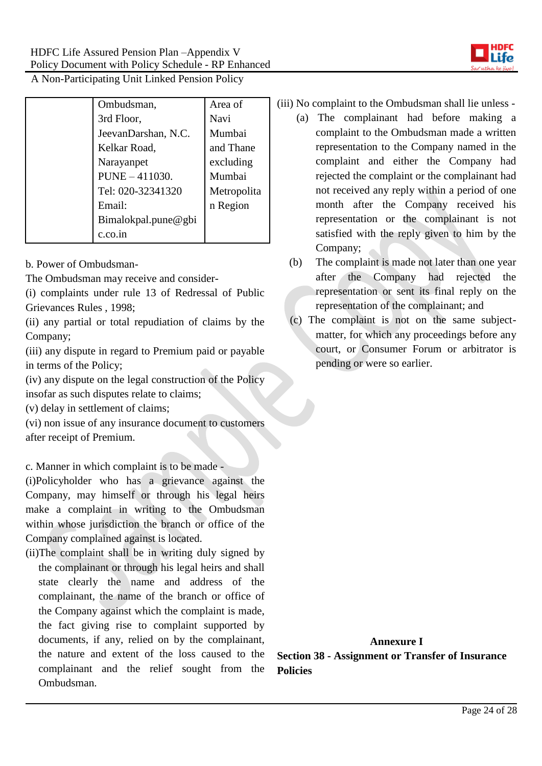

| Ombudsman,          | Area of     |
|---------------------|-------------|
| 3rd Floor,          | Navi        |
| JeevanDarshan, N.C. | Mumbai      |
| Kelkar Road,        | and Thane   |
| Narayanpet          | excluding   |
| PUNE - 411030.      | Mumbai      |
| Tel: 020-32341320   | Metropolita |
| Email:              | n Region    |
| Bimalokpal.pune@gbi |             |
| $c_{.}co.in$        |             |

b. Power of Ombudsman-

The Ombudsman may receive and consider-

(i) complaints under rule 13 of Redressal of Public Grievances Rules , 1998;

(ii) any partial or total repudiation of claims by the Company;

(iii) any dispute in regard to Premium paid or payable in terms of the Policy;

(iv) any dispute on the legal construction of the Policy insofar as such disputes relate to claims;

(v) delay in settlement of claims;

(vi) non issue of any insurance document to customers after receipt of Premium.

c. Manner in which complaint is to be made -

(i)Policyholder who has a grievance against the Company, may himself or through his legal heirs make a complaint in writing to the Ombudsman within whose jurisdiction the branch or office of the Company complained against is located.

(ii)The complaint shall be in writing duly signed by the complainant or through his legal heirs and shall state clearly the name and address of the complainant, the name of the branch or office of the Company against which the complaint is made, the fact giving rise to complaint supported by documents, if any, relied on by the complainant, the nature and extent of the loss caused to the complainant and the relief sought from the Ombudsman.

- (iii) No complaint to the Ombudsman shall lie unless
	- (a) The complainant had before making a complaint to the Ombudsman made a written representation to the Company named in the complaint and either the Company had rejected the complaint or the complainant had not received any reply within a period of one month after the Company received his representation or the complainant is not satisfied with the reply given to him by the Company;
	- (b) The complaint is made not later than one year after the Company had rejected the representation or sent its final reply on the representation of the complainant; and
	- (c) The complaint is not on the same subjectmatter, for which any proceedings before any court, or Consumer Forum or arbitrator is pending or were so earlier.

## **Annexure I**

**Section 38 - Assignment or Transfer of Insurance Policies**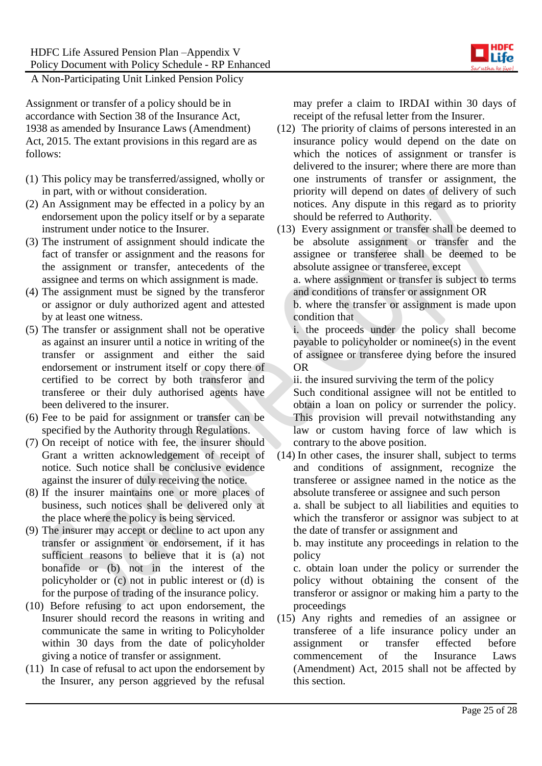

Assignment or transfer of a policy should be in accordance with Section 38 of the Insurance Act, 1938 as amended by Insurance Laws (Amendment) Act, 2015. The extant provisions in this regard are as follows:

- (1) This policy may be transferred/assigned, wholly or in part, with or without consideration.
- (2) An Assignment may be effected in a policy by an endorsement upon the policy itself or by a separate instrument under notice to the Insurer.
- (3) The instrument of assignment should indicate the fact of transfer or assignment and the reasons for the assignment or transfer, antecedents of the assignee and terms on which assignment is made.
- (4) The assignment must be signed by the transferor or assignor or duly authorized agent and attested by at least one witness.
- (5) The transfer or assignment shall not be operative as against an insurer until a notice in writing of the transfer or assignment and either the said endorsement or instrument itself or copy there of certified to be correct by both transferor and transferee or their duly authorised agents have been delivered to the insurer.
- (6) Fee to be paid for assignment or transfer can be specified by the Authority through Regulations.
- (7) On receipt of notice with fee, the insurer should Grant a written acknowledgement of receipt of notice. Such notice shall be conclusive evidence against the insurer of duly receiving the notice.
- (8) If the insurer maintains one or more places of business, such notices shall be delivered only at the place where the policy is being serviced.
- (9) The insurer may accept or decline to act upon any transfer or assignment or endorsement, if it has sufficient reasons to believe that it is (a) not bonafide or (b) not in the interest of the policyholder or (c) not in public interest or (d) is for the purpose of trading of the insurance policy.
- (10) Before refusing to act upon endorsement, the Insurer should record the reasons in writing and communicate the same in writing to Policyholder within 30 days from the date of policyholder giving a notice of transfer or assignment.
- (11) In case of refusal to act upon the endorsement by the Insurer, any person aggrieved by the refusal

may prefer a claim to IRDAI within 30 days of receipt of the refusal letter from the Insurer.

- (12) The priority of claims of persons interested in an insurance policy would depend on the date on which the notices of assignment or transfer is delivered to the insurer; where there are more than one instruments of transfer or assignment, the priority will depend on dates of delivery of such notices. Any dispute in this regard as to priority should be referred to Authority.
- (13) Every assignment or transfer shall be deemed to be absolute assignment or transfer and the assignee or transferee shall be deemed to be absolute assignee or transferee, except

a. where assignment or transfer is subject to terms and conditions of transfer or assignment OR

b. where the transfer or assignment is made upon condition that

i. the proceeds under the policy shall become payable to policyholder or nominee(s) in the event of assignee or transferee dying before the insured OR

ii. the insured surviving the term of the policy

Such conditional assignee will not be entitled to obtain a loan on policy or surrender the policy. This provision will prevail notwithstanding any law or custom having force of law which is contrary to the above position.

(14) In other cases, the insurer shall, subject to terms and conditions of assignment, recognize the transferee or assignee named in the notice as the absolute transferee or assignee and such person

a. shall be subject to all liabilities and equities to which the transferor or assignor was subject to at the date of transfer or assignment and

b. may institute any proceedings in relation to the policy

c. obtain loan under the policy or surrender the policy without obtaining the consent of the transferor or assignor or making him a party to the proceedings

(15) Any rights and remedies of an assignee or transferee of a life insurance policy under an assignment or transfer effected before commencement of the Insurance Laws (Amendment) Act, 2015 shall not be affected by this section.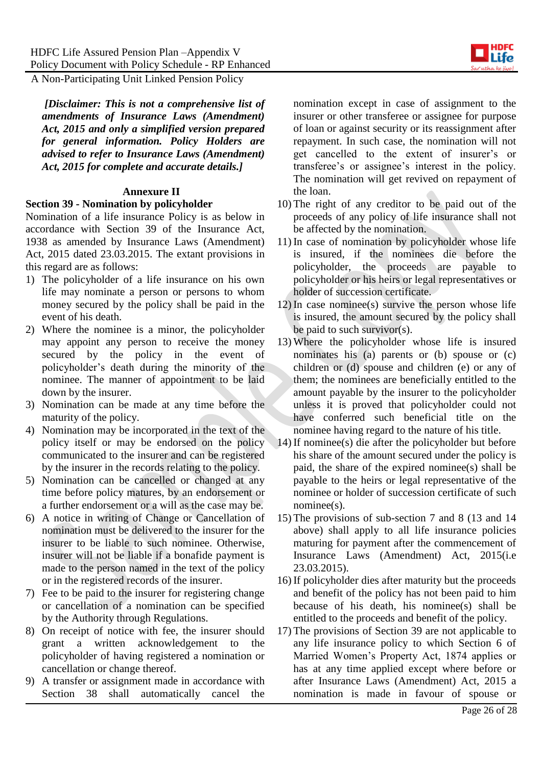

*[Disclaimer: This is not a comprehensive list of amendments of Insurance Laws (Amendment) Act, 2015 and only a simplified version prepared for general information. Policy Holders are advised to refer to Insurance Laws (Amendment) Act, 2015 for complete and accurate details.]*

## **Annexure II**

#### **Section 39 - Nomination by policyholder**

Nomination of a life insurance Policy is as below in accordance with Section 39 of the Insurance Act, 1938 as amended by Insurance Laws (Amendment) Act, 2015 dated 23.03.2015. The extant provisions in this regard are as follows:

- 1) The policyholder of a life insurance on his own life may nominate a person or persons to whom money secured by the policy shall be paid in the event of his death.
- 2) Where the nominee is a minor, the policyholder may appoint any person to receive the money secured by the policy in the event of policyholder's death during the minority of the nominee. The manner of appointment to be laid down by the insurer.
- 3) Nomination can be made at any time before the maturity of the policy.
- 4) Nomination may be incorporated in the text of the policy itself or may be endorsed on the policy communicated to the insurer and can be registered by the insurer in the records relating to the policy.
- 5) Nomination can be cancelled or changed at any time before policy matures, by an endorsement or a further endorsement or a will as the case may be.
- 6) A notice in writing of Change or Cancellation of nomination must be delivered to the insurer for the insurer to be liable to such nominee. Otherwise, insurer will not be liable if a bonafide payment is made to the person named in the text of the policy or in the registered records of the insurer.
- 7) Fee to be paid to the insurer for registering change or cancellation of a nomination can be specified by the Authority through Regulations.
- 8) On receipt of notice with fee, the insurer should grant a written acknowledgement to the policyholder of having registered a nomination or cancellation or change thereof.
- 9) A transfer or assignment made in accordance with Section 38 shall automatically cancel the

nomination except in case of assignment to the insurer or other transferee or assignee for purpose of loan or against security or its reassignment after repayment. In such case, the nomination will not get cancelled to the extent of insurer's or transferee's or assignee's interest in the policy. The nomination will get revived on repayment of the loan.

- 10) The right of any creditor to be paid out of the proceeds of any policy of life insurance shall not be affected by the nomination.
- 11) In case of nomination by policyholder whose life is insured, if the nominees die before the policyholder, the proceeds are payable to policyholder or his heirs or legal representatives or holder of succession certificate.
- 12) In case nominee(s) survive the person whose life is insured, the amount secured by the policy shall be paid to such survivor(s).
- 13) Where the policyholder whose life is insured nominates his (a) parents or (b) spouse or (c) children or (d) spouse and children (e) or any of them; the nominees are beneficially entitled to the amount payable by the insurer to the policyholder unless it is proved that policyholder could not have conferred such beneficial title on the nominee having regard to the nature of his title.
- 14) If nominee(s) die after the policyholder but before his share of the amount secured under the policy is paid, the share of the expired nominee(s) shall be payable to the heirs or legal representative of the nominee or holder of succession certificate of such nominee(s).
- 15) The provisions of sub-section 7 and 8 (13 and 14 above) shall apply to all life insurance policies maturing for payment after the commencement of Insurance Laws (Amendment) Act, 2015(i.e 23.03.2015).
- 16) If policyholder dies after maturity but the proceeds and benefit of the policy has not been paid to him because of his death, his nominee(s) shall be entitled to the proceeds and benefit of the policy.
- 17) The provisions of Section 39 are not applicable to any life insurance policy to which Section 6 of Married Women's Property Act, 1874 applies or has at any time applied except where before or after Insurance Laws (Amendment) Act, 2015 a nomination is made in favour of spouse or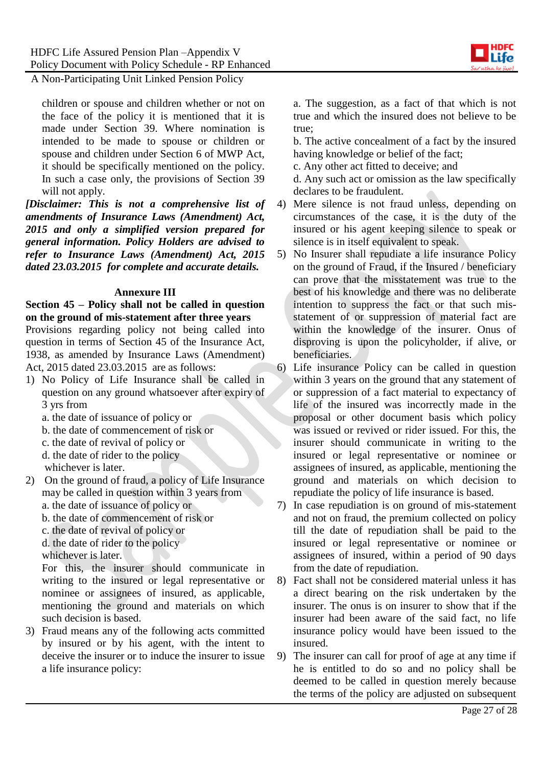

children or spouse and children whether or not on the face of the policy it is mentioned that it is made under Section 39. Where nomination is intended to be made to spouse or children or spouse and children under Section 6 of MWP Act, it should be specifically mentioned on the policy. In such a case only, the provisions of Section 39 will not apply.

*[Disclaimer: This is not a comprehensive list of amendments of Insurance Laws (Amendment) Act, 2015 and only a simplified version prepared for general information. Policy Holders are advised to refer to Insurance Laws (Amendment) Act, 2015 dated 23.03.2015 for complete and accurate details.*

#### **Annexure III**

**Section 45 – Policy shall not be called in question on the ground of mis-statement after three years**

Provisions regarding policy not being called into question in terms of Section 45 of the Insurance Act, 1938, as amended by Insurance Laws (Amendment) Act, 2015 dated 23.03.2015 are as follows:

- 1) No Policy of Life Insurance shall be called in question on any ground whatsoever after expiry of 3 yrs from
	- a. the date of issuance of policy or
	- b. the date of commencement of risk or
	- c. the date of revival of policy or
	- d. the date of rider to the policy whichever is later.
- 2) On the ground of fraud, a policy of Life Insurance may be called in question within 3 years from a. the date of issuance of policy or
	- b. the date of commencement of risk or
	- c. the date of revival of policy or
	- d. the date of rider to the policy
	- whichever is later.

For this, the insurer should communicate in writing to the insured or legal representative or nominee or assignees of insured, as applicable, mentioning the ground and materials on which such decision is based.

3) Fraud means any of the following acts committed by insured or by his agent, with the intent to deceive the insurer or to induce the insurer to issue a life insurance policy:

a. The suggestion, as a fact of that which is not true and which the insured does not believe to be true;

b. The active concealment of a fact by the insured having knowledge or belief of the fact;

c. Any other act fitted to deceive; and

d. Any such act or omission as the law specifically declares to be fraudulent.

- 4) Mere silence is not fraud unless, depending on circumstances of the case, it is the duty of the insured or his agent keeping silence to speak or silence is in itself equivalent to speak.
- 5) No Insurer shall repudiate a life insurance Policy on the ground of Fraud, if the Insured / beneficiary can prove that the misstatement was true to the best of his knowledge and there was no deliberate intention to suppress the fact or that such misstatement of or suppression of material fact are within the knowledge of the insurer. Onus of disproving is upon the policyholder, if alive, or beneficiaries.
- 6) Life insurance Policy can be called in question within 3 years on the ground that any statement of or suppression of a fact material to expectancy of life of the insured was incorrectly made in the proposal or other document basis which policy was issued or revived or rider issued. For this, the insurer should communicate in writing to the insured or legal representative or nominee or assignees of insured, as applicable, mentioning the ground and materials on which decision to repudiate the policy of life insurance is based.
- 7) In case repudiation is on ground of mis-statement and not on fraud, the premium collected on policy till the date of repudiation shall be paid to the insured or legal representative or nominee or assignees of insured, within a period of 90 days from the date of repudiation.
- 8) Fact shall not be considered material unless it has a direct bearing on the risk undertaken by the insurer. The onus is on insurer to show that if the insurer had been aware of the said fact, no life insurance policy would have been issued to the insured.
- 9) The insurer can call for proof of age at any time if he is entitled to do so and no policy shall be deemed to be called in question merely because the terms of the policy are adjusted on subsequent